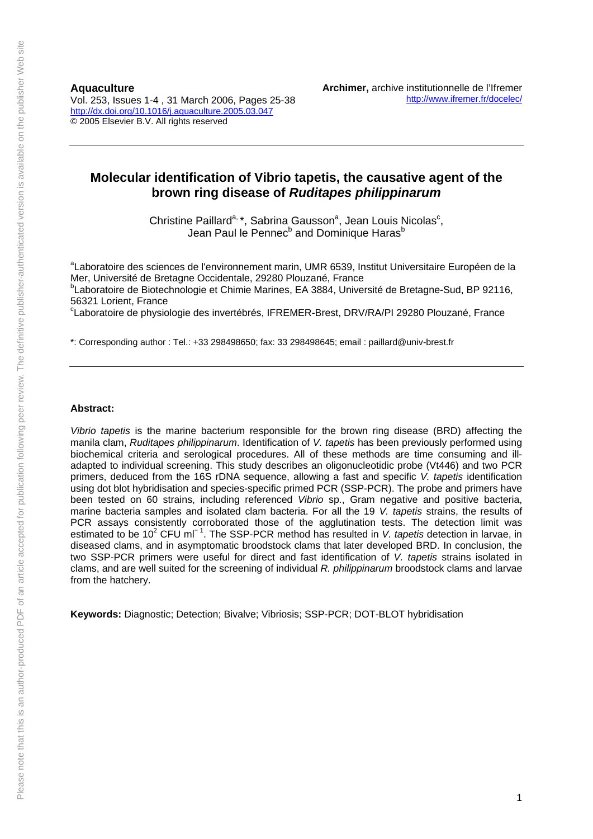**Aquaculture** 

Vol. 253, Issues 1-4 , 31 March 2006, Pages 25-38 http://dx.doi.org/10.1016/j.aquaculture.2005.03.047 © 2005 Elsevier B.V. All rights reserved

# **Molecular identification of Vibrio tapetis, the causative agent of the brown ring disease of** *Ruditapes philippinarum*

Christine Paillard<sup>a, \*</sup>, Sabrina Gausson<sup>a</sup>, Jean Louis Nicolas<sup>c</sup>, Jean Paul le Pennec<sup>b</sup> and Dominique Haras<sup>b</sup>

<sup>a</sup>Laboratoire des sciences de l'environnement marin, UMR 6539, Institut Universitaire Européen de la Mer, Université de Bretagne Occidentale, 29280 Plouzané, France

<sup>b</sup>Laboratoire de Biotechnologie et Chimie Marines, EA 3884, Université de Bretagne-Sud, BP 92116, 56321 Lorient, France

<sup>c</sup>Laboratoire de physiologie des invertébrés, IFREMER-Brest, DRV/RA/PI 29280 Plouzané, France

\*: Corresponding author : Tel.: +33 298498650; fax: 33 298498645; email : paillard@univ-brest.fr

#### **Abstract:**

*Vibrio tapetis* is the marine bacterium responsible for the brown ring disease (BRD) affecting the manila clam, *Ruditapes philippinarum*. Identification of *V. tapetis* has been previously performed using biochemical criteria and serological procedures. All of these methods are time consuming and illadapted to individual screening. This study describes an oligonucleotidic probe (Vt446) and two PCR primers, deduced from the 16S rDNA sequence, allowing a fast and specific *V. tapetis* identification using dot blot hybridisation and species-specific primed PCR (SSP-PCR). The probe and primers have been tested on 60 strains, including referenced *Vibrio* sp., Gram negative and positive bacteria, marine bacteria samples and isolated clam bacteria. For all the 19 *V. tapetis* strains, the results of PCR assays consistently corroborated those of the agglutination tests. The detection limit was estimated to be 10<sup>2</sup> CFU ml<sup>−1</sup>. The SSP-PCR method has resulted in *V. tapetis* detection in larvae, in diseased clams, and in asymptomatic broodstock clams that later developed BRD. In conclusion, the two SSP-PCR primers were useful for direct and fast identification of *V. tapetis* strains isolated in clams, and are well suited for the screening of individual *R. philippinarum* broodstock clams and larvae from the hatchery.

**Keywords:** Diagnostic; Detection; Bivalve; Vibriosis; SSP-PCR; DOT-BLOT hybridisation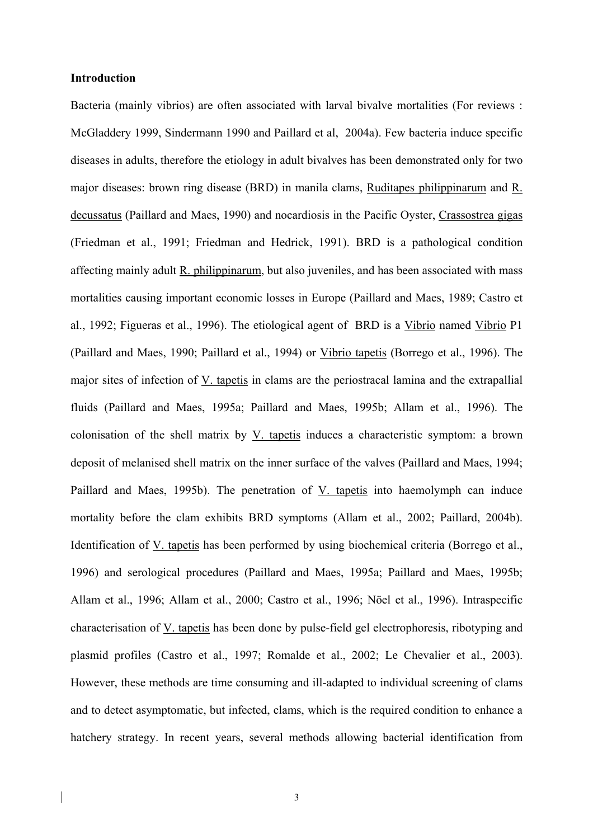# **Introduction**

Bacteria (mainly vibrios) are often associated with larval bivalve mortalities (For reviews : McGladdery 1999, Sindermann 1990 and Paillard et al, 2004a). Few bacteria induce specific diseases in adults, therefore the etiology in adult bivalves has been demonstrated only for two major diseases: brown ring disease (BRD) in manila clams, Ruditapes philippinarum and R. decussatus (Paillard and Maes, 1990) and nocardiosis in the Pacific Oyster, Crassostrea gigas (Friedman et al., 1991; Friedman and Hedrick, 1991). BRD is a pathological condition affecting mainly adult R. philippinarum, but also juveniles, and has been associated with mass mortalities causing important economic losses in Europe (Paillard and Maes, 1989; Castro et al., 1992; Figueras et al., 1996). The etiological agent of BRD is a Vibrio named Vibrio P1 (Paillard and Maes, 1990; Paillard et al., 1994) or Vibrio tapetis (Borrego et al., 1996). The major sites of infection of V. tapetis in clams are the periostracal lamina and the extrapallial fluids (Paillard and Maes, 1995a; Paillard and Maes, 1995b; Allam et al., 1996). The colonisation of the shell matrix by V. tapetis induces a characteristic symptom: a brown deposit of melanised shell matrix on the inner surface of the valves (Paillard and Maes, 1994; Paillard and Maes, 1995b). The penetration of V. tapetis into haemolymph can induce mortality before the clam exhibits BRD symptoms (Allam et al., 2002; Paillard, 2004b). Identification of V. tapetis has been performed by using biochemical criteria (Borrego et al., 1996) and serological procedures (Paillard and Maes, 1995a; Paillard and Maes, 1995b; Allam et al., 1996; Allam et al., 2000; Castro et al., 1996; Nöel et al., 1996). Intraspecific characterisation of V. tapetis has been done by pulse-field gel electrophoresis, ribotyping and plasmid profiles (Castro et al., 1997; Romalde et al., 2002; Le Chevalier et al., 2003). However, these methods are time consuming and ill-adapted to individual screening of clams and to detect asymptomatic, but infected, clams, which is the required condition to enhance a hatchery strategy. In recent years, several methods allowing bacterial identification from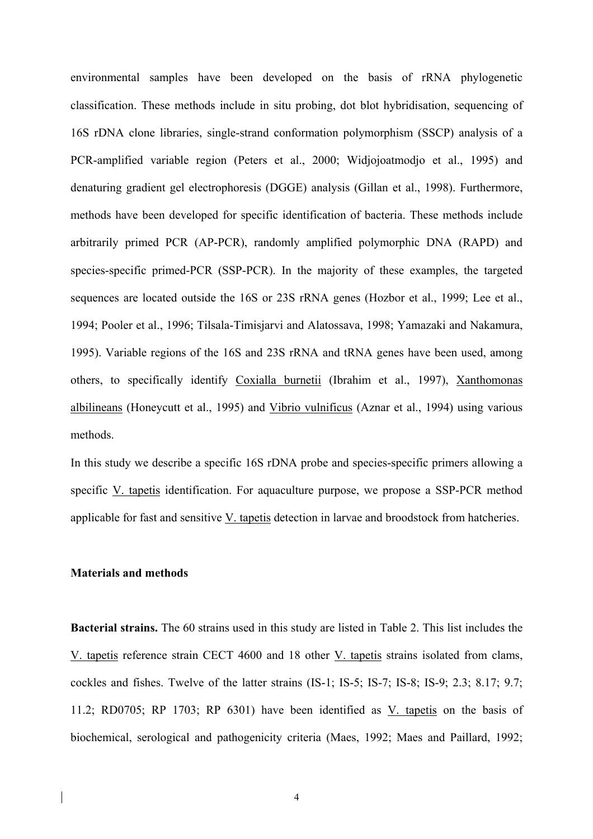environmental samples have been developed on the basis of rRNA phylogenetic classification. These methods include in situ probing, dot blot hybridisation, sequencing of 16S rDNA clone libraries, single-strand conformation polymorphism (SSCP) analysis of a PCR-amplified variable region (Peters et al., 2000; Widjojoatmodjo et al., 1995) and denaturing gradient gel electrophoresis (DGGE) analysis (Gillan et al., 1998). Furthermore, methods have been developed for specific identification of bacteria. These methods include arbitrarily primed PCR (AP-PCR), randomly amplified polymorphic DNA (RAPD) and species-specific primed-PCR (SSP-PCR). In the majority of these examples, the targeted sequences are located outside the 16S or 23S rRNA genes (Hozbor et al., 1999; Lee et al., 1994; Pooler et al., 1996; Tilsala-Timisjarvi and Alatossava, 1998; Yamazaki and Nakamura, 1995). Variable regions of the 16S and 23S rRNA and tRNA genes have been used, among others, to specifically identify Coxialla burnetii (Ibrahim et al., 1997), Xanthomonas albilineans (Honeycutt et al., 1995) and Vibrio vulnificus (Aznar et al., 1994) using various methods.

In this study we describe a specific 16S rDNA probe and species-specific primers allowing a specific V. tapetis identification. For aquaculture purpose, we propose a SSP-PCR method applicable for fast and sensitive V. tapetis detection in larvae and broodstock from hatcheries.

### **Materials and methods**

**Bacterial strains.** The 60 strains used in this study are listed in Table 2. This list includes the V. tapetis reference strain CECT 4600 and 18 other V. tapetis strains isolated from clams, cockles and fishes. Twelve of the latter strains (IS-1; IS-5; IS-7; IS-8; IS-9; 2.3; 8.17; 9.7; 11.2; RD0705; RP 1703; RP 6301) have been identified as V. tapetis on the basis of biochemical, serological and pathogenicity criteria (Maes, 1992; Maes and Paillard, 1992;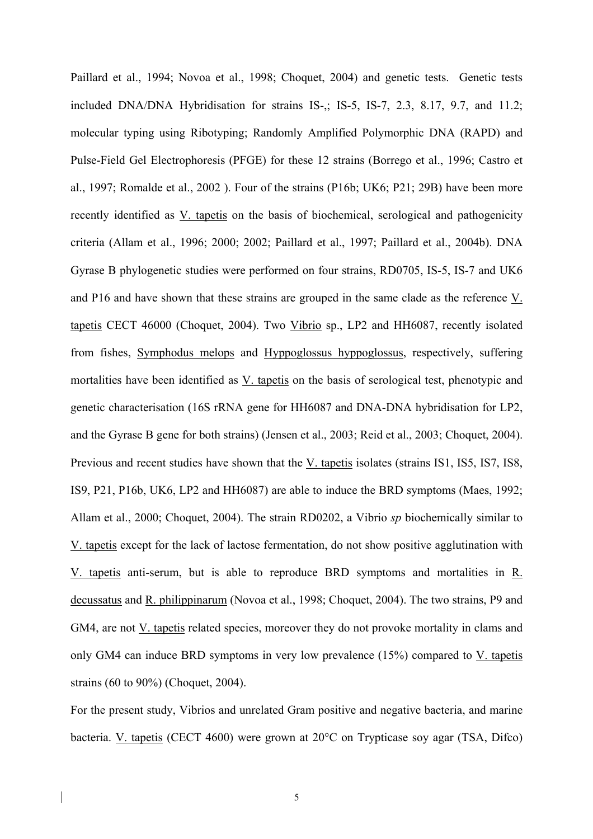Paillard et al., 1994; Novoa et al., 1998; Choquet, 2004) and genetic tests. Genetic tests included DNA/DNA Hybridisation for strains IS-,; IS-5, IS-7, 2.3, 8.17, 9.7, and 11.2; molecular typing using Ribotyping; Randomly Amplified Polymorphic DNA (RAPD) and Pulse-Field Gel Electrophoresis (PFGE) for these 12 strains (Borrego et al., 1996; Castro et al., 1997; Romalde et al., 2002 ). Four of the strains (P16b; UK6; P21; 29B) have been more recently identified as V. tapetis on the basis of biochemical, serological and pathogenicity criteria (Allam et al., 1996; 2000; 2002; Paillard et al., 1997; Paillard et al., 2004b). DNA Gyrase B phylogenetic studies were performed on four strains, RD0705, IS-5, IS-7 and UK6 and P16 and have shown that these strains are grouped in the same clade as the reference V. tapetis CECT 46000 (Choquet, 2004). Two Vibrio sp., LP2 and HH6087, recently isolated from fishes, Symphodus melops and Hyppoglossus hyppoglossus, respectively, suffering mortalities have been identified as V. tapetis on the basis of serological test, phenotypic and genetic characterisation (16S rRNA gene for HH6087 and DNA-DNA hybridisation for LP2, and the Gyrase B gene for both strains) (Jensen et al., 2003; Reid et al., 2003; Choquet, 2004). Previous and recent studies have shown that the V. tapetis isolates (strains IS1, IS5, IS7, IS8, IS9, P21, P16b, UK6, LP2 and HH6087) are able to induce the BRD symptoms (Maes, 1992; Allam et al., 2000; Choquet, 2004). The strain RD0202, a Vibrio *sp* biochemically similar to V. tapetis except for the lack of lactose fermentation, do not show positive agglutination with V. tapetis anti-serum, but is able to reproduce BRD symptoms and mortalities in R. decussatus and R. philippinarum (Novoa et al., 1998; Choquet, 2004). The two strains, P9 and GM4, are not V. tapetis related species, moreover they do not provoke mortality in clams and only GM4 can induce BRD symptoms in very low prevalence (15%) compared to V. tapetis strains (60 to 90%) (Choquet, 2004).

For the present study, Vibrios and unrelated Gram positive and negative bacteria, and marine bacteria. V. tapetis (CECT 4600) were grown at 20°C on Trypticase soy agar (TSA, Difco)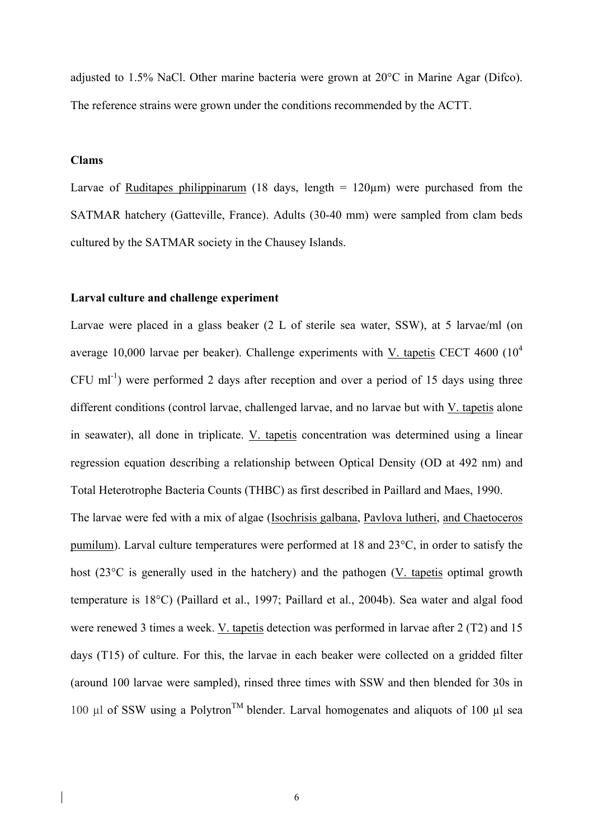adjusted to 1.5% NaCl. Other marine bacteria were grown at 20°C in Marine Agar (Difco). The reference strains were grown under the conditions recommended by the ACTT.

# **Clams**

Larvae of Ruditapes philippinarum (18 days, length  $= 120 \mu m$ ) were purchased from the SATMAR hatchery (Gatteville, France). Adults (30-40 mm) were sampled from clam beds cultured by the SATMAR society in the Chausey Islands.

# **Larval culture and challenge experiment**

Larvae were placed in a glass beaker (2 L of sterile sea water, SSW), at 5 larvae/ml (on average 10,000 larvae per beaker). Challenge experiments with V. tapetis CECT 4600  $(10^4$  $CFU$  ml<sup>-1</sup>) were performed 2 days after reception and over a period of 15 days using three different conditions (control larvae, challenged larvae, and no larvae but with V. tapetis alone in seawater), all done in triplicate. V. tapetis concentration was determined using a linear regression equation describing a relationship between Optical Density (OD at 492 nm) and Total Heterotrophe Bacteria Counts (THBC) as first described in Paillard and Maes, 1990.

The larvae were fed with a mix of algae (Isochrisis galbana, Pavlova lutheri, and Chaetoceros pumilum). Larval culture temperatures were performed at 18 and 23°C, in order to satisfy the host (23<sup>o</sup>C is generally used in the hatchery) and the pathogen (V. tapetis optimal growth temperature is 18°C) (Paillard et al., 1997; Paillard et al., 2004b). Sea water and algal food were renewed 3 times a week. V. tapetis detection was performed in larvae after 2 (T2) and 15 days (T15) of culture. For this, the larvae in each beaker were collected on a gridded filter (around 100 larvae were sampled), rinsed three times with SSW and then blended for 30s in 100 µl of SSW using a Polytron<sup>TM</sup> blender. Larval homogenates and aliquots of 100 µl sea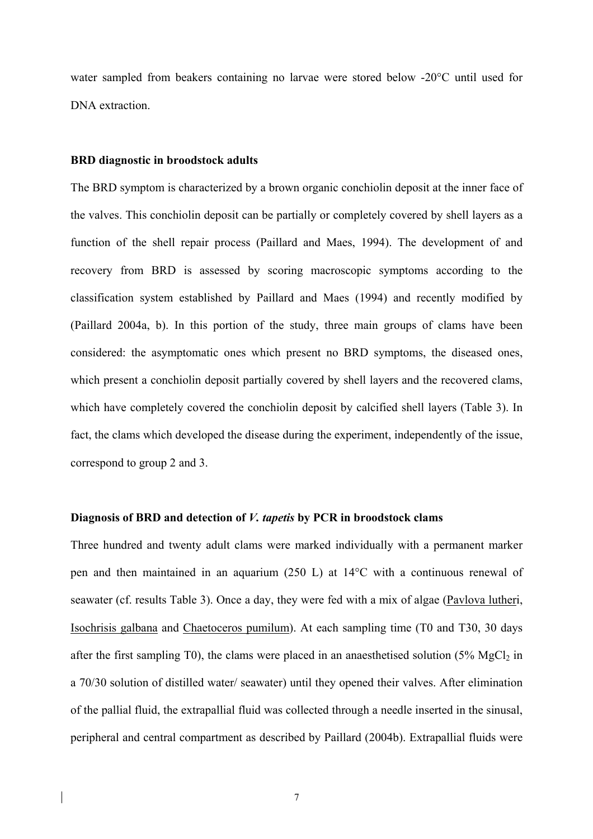water sampled from beakers containing no larvae were stored below -20°C until used for DNA extraction.

### **BRD diagnostic in broodstock adults**

The BRD symptom is characterized by a brown organic conchiolin deposit at the inner face of the valves. This conchiolin deposit can be partially or completely covered by shell layers as a function of the shell repair process (Paillard and Maes, 1994). The development of and recovery from BRD is assessed by scoring macroscopic symptoms according to the classification system established by Paillard and Maes (1994) and recently modified by (Paillard 2004a, b). In this portion of the study, three main groups of clams have been considered: the asymptomatic ones which present no BRD symptoms, the diseased ones, which present a conchiolin deposit partially covered by shell layers and the recovered clams, which have completely covered the conchiolin deposit by calcified shell layers (Table 3). In fact, the clams which developed the disease during the experiment, independently of the issue, correspond to group 2 and 3.

### **Diagnosis of BRD and detection of** *V. tapetis* **by PCR in broodstock clams**

Three hundred and twenty adult clams were marked individually with a permanent marker pen and then maintained in an aquarium (250 L) at 14°C with a continuous renewal of seawater (cf. results Table 3). Once a day, they were fed with a mix of algae (Pavlova lutheri, Isochrisis galbana and Chaetoceros pumilum). At each sampling time (T0 and T30, 30 days after the first sampling T0), the clams were placed in an anaesthetised solution  $(5\% \text{ MgCl}_2 \text{ in }$ a 70/30 solution of distilled water/ seawater) until they opened their valves. After elimination of the pallial fluid, the extrapallial fluid was collected through a needle inserted in the sinusal, peripheral and central compartment as described by Paillard (2004b). Extrapallial fluids were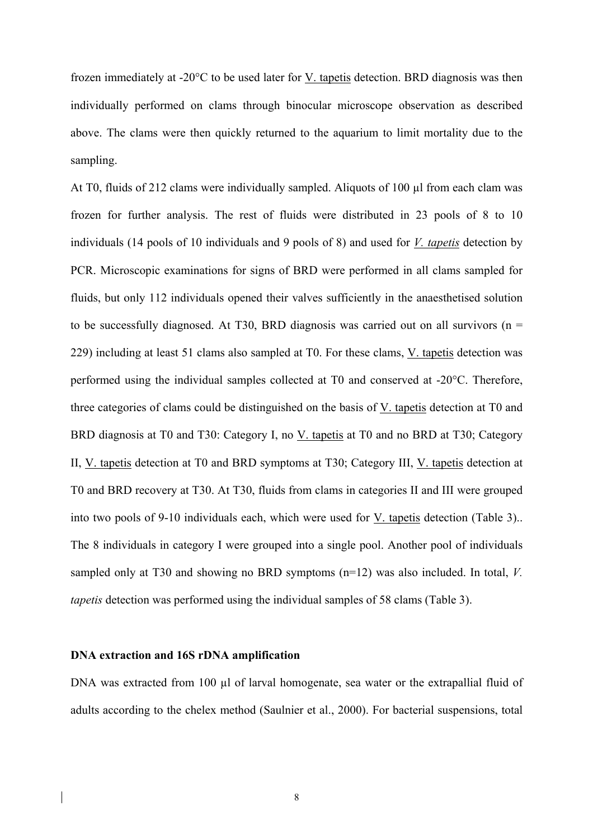frozen immediately at -20°C to be used later for V. tapetis detection. BRD diagnosis was then individually performed on clams through binocular microscope observation as described above. The clams were then quickly returned to the aquarium to limit mortality due to the sampling.

At T0, fluids of 212 clams were individually sampled. Aliquots of 100  $\mu$ l from each clam was frozen for further analysis. The rest of fluids were distributed in 23 pools of 8 to 10 individuals (14 pools of 10 individuals and 9 pools of 8) and used for *V. tapetis* detection by PCR. Microscopic examinations for signs of BRD were performed in all clams sampled for fluids, but only 112 individuals opened their valves sufficiently in the anaesthetised solution to be successfully diagnosed. At T30, BRD diagnosis was carried out on all survivors ( $n =$ 229) including at least 51 clams also sampled at T0. For these clams, V. tapetis detection was performed using the individual samples collected at T0 and conserved at -20°C. Therefore, three categories of clams could be distinguished on the basis of V. tapetis detection at T0 and BRD diagnosis at T0 and T30: Category I, no V. tapetis at T0 and no BRD at T30; Category II, V. tapetis detection at T0 and BRD symptoms at T30; Category III, V. tapetis detection at T0 and BRD recovery at T30. At T30, fluids from clams in categories II and III were grouped into two pools of 9-10 individuals each, which were used for V. tapetis detection (Table 3).. The 8 individuals in category I were grouped into a single pool. Another pool of individuals sampled only at T30 and showing no BRD symptoms (n=12) was also included. In total, *V. tapetis* detection was performed using the individual samples of 58 clams (Table 3).

### **DNA extraction and 16S rDNA amplification**

DNA was extracted from 100 µl of larval homogenate, sea water or the extrapallial fluid of adults according to the chelex method (Saulnier et al., 2000). For bacterial suspensions, total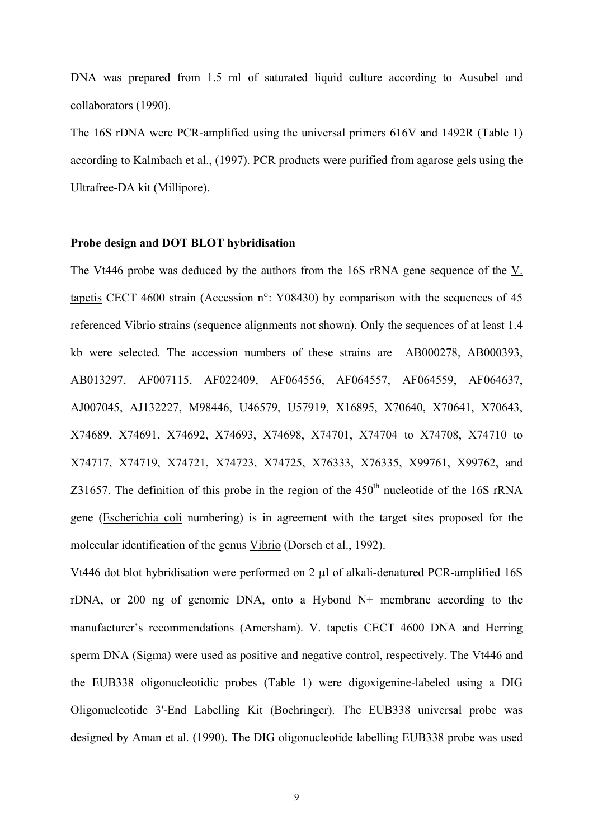DNA was prepared from 1.5 ml of saturated liquid culture according to Ausubel and collaborators (1990).

The 16S rDNA were PCR-amplified using the universal primers 616V and 1492R (Table 1) according to Kalmbach et al., (1997). PCR products were purified from agarose gels using the Ultrafree-DA kit (Millipore).

#### **Probe design and DOT BLOT hybridisation**

The Vt446 probe was deduced by the authors from the 16S rRNA gene sequence of the V. tapetis CECT 4600 strain (Accession n°: Y08430) by comparison with the sequences of 45 referenced Vibrio strains (sequence alignments not shown). Only the sequences of at least 1.4 kb were selected. The accession numbers of these strains are AB000278, AB000393, AB013297, AF007115, AF022409, AF064556, AF064557, AF064559, AF064637, AJ007045, AJ132227, M98446, U46579, U57919, X16895, X70640, X70641, X70643, X74689, X74691, X74692, X74693, X74698, X74701, X74704 to X74708, X74710 to X74717, X74719, X74721, X74723, X74725, X76333, X76335, X99761, X99762, and Z31657. The definition of this probe in the region of the  $450<sup>th</sup>$  nucleotide of the 16S rRNA gene (Escherichia coli numbering) is in agreement with the target sites proposed for the molecular identification of the genus Vibrio (Dorsch et al., 1992).

Vt446 dot blot hybridisation were performed on 2 µl of alkali-denatured PCR-amplified 16S rDNA, or 200 ng of genomic DNA, onto a Hybond N+ membrane according to the manufacturer's recommendations (Amersham). V. tapetis CECT 4600 DNA and Herring sperm DNA (Sigma) were used as positive and negative control, respectively. The Vt446 and the EUB338 oligonucleotidic probes (Table 1) were digoxigenine-labeled using a DIG Oligonucleotide 3'-End Labelling Kit (Boehringer). The EUB338 universal probe was designed by Aman et al. (1990). The DIG oligonucleotide labelling EUB338 probe was used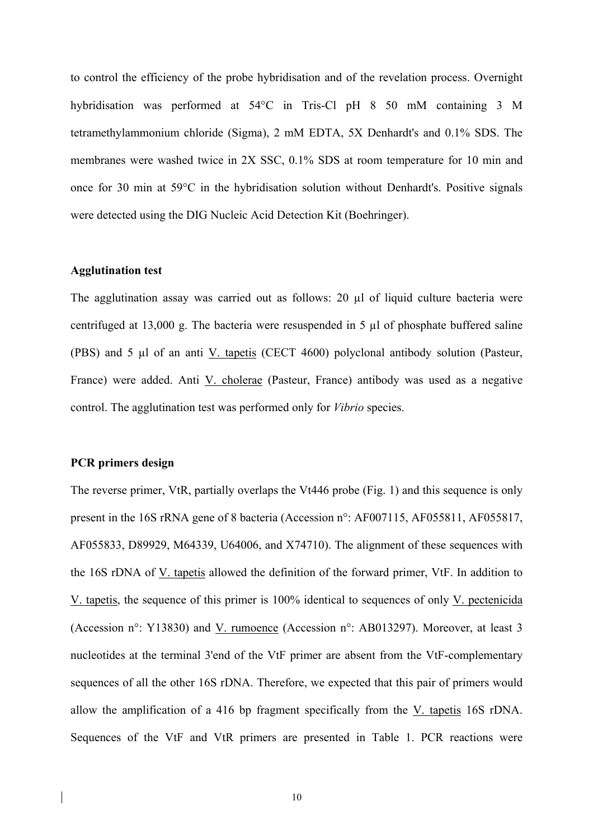to control the efficiency of the probe hybridisation and of the revelation process. Overnight hybridisation was performed at 54°C in Tris-Cl pH 8 50 mM containing 3 M tetramethylammonium chloride (Sigma), 2 mM EDTA, 5X Denhardt's and 0.1% SDS. The membranes were washed twice in 2X SSC, 0.1% SDS at room temperature for 10 min and once for 30 min at 59°C in the hybridisation solution without Denhardt's. Positive signals were detected using the DIG Nucleic Acid Detection Kit (Boehringer).

# **Agglutination test**

The agglutination assay was carried out as follows: 20 µl of liquid culture bacteria were centrifuged at 13,000 g. The bacteria were resuspended in 5 µl of phosphate buffered saline (PBS) and 5 µl of an anti V. tapetis (CECT 4600) polyclonal antibody solution (Pasteur, France) were added. Anti V. cholerae (Pasteur, France) antibody was used as a negative control. The agglutination test was performed only for *Vibrio* species.

### **PCR primers design**

The reverse primer, VtR, partially overlaps the Vt446 probe (Fig. 1) and this sequence is only present in the 16S rRNA gene of 8 bacteria (Accession n°: AF007115, AF055811, AF055817, AF055833, D89929, M64339, U64006, and X74710). The alignment of these sequences with the 16S rDNA of V. tapetis allowed the definition of the forward primer, VtF. In addition to V. tapetis, the sequence of this primer is 100% identical to sequences of only V. pectenicida (Accession n°: Y13830) and V. rumoence (Accession n°: AB013297). Moreover, at least 3 nucleotides at the terminal 3'end of the VtF primer are absent from the VtF-complementary sequences of all the other 16S rDNA. Therefore, we expected that this pair of primers would allow the amplification of a 416 bp fragment specifically from the V. tapetis 16S rDNA. Sequences of the VtF and VtR primers are presented in Table 1. PCR reactions were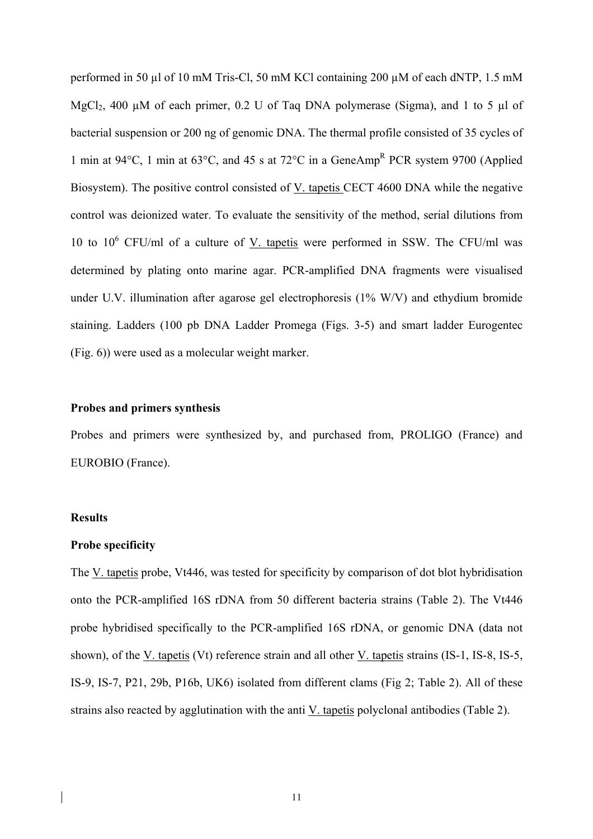performed in 50 µl of 10 mM Tris-Cl, 50 mM KCl containing 200 µM of each dNTP, 1.5 mM MgCl<sub>2</sub>, 400  $\mu$ M of each primer, 0.2 U of Taq DNA polymerase (Sigma), and 1 to 5  $\mu$ l of bacterial suspension or 200 ng of genomic DNA. The thermal profile consisted of 35 cycles of 1 min at 94°C, 1 min at 63°C, and 45 s at 72°C in a GeneAmp<sup>R</sup> PCR system 9700 (Applied Biosystem). The positive control consisted of V. tapetis CECT 4600 DNA while the negative control was deionized water. To evaluate the sensitivity of the method, serial dilutions from 10 to  $10^6$  CFU/ml of a culture of <u>V. tapetis</u> were performed in SSW. The CFU/ml was determined by plating onto marine agar. PCR-amplified DNA fragments were visualised under U.V. illumination after agarose gel electrophoresis (1% W/V) and ethydium bromide staining. Ladders (100 pb DNA Ladder Promega (Figs. 3-5) and smart ladder Eurogentec (Fig. 6)) were used as a molecular weight marker.

# **Probes and primers synthesis**

Probes and primers were synthesized by, and purchased from, PROLIGO (France) and EUROBIO (France).

# **Results**

#### **Probe specificity**

The V. tapetis probe, Vt446, was tested for specificity by comparison of dot blot hybridisation onto the PCR-amplified 16S rDNA from 50 different bacteria strains (Table 2). The Vt446 probe hybridised specifically to the PCR-amplified 16S rDNA, or genomic DNA (data not shown), of the V. tapetis (Vt) reference strain and all other V. tapetis strains (IS-1, IS-8, IS-5, IS-9, IS-7, P21, 29b, P16b, UK6) isolated from different clams (Fig 2; Table 2). All of these strains also reacted by agglutination with the anti V. tapetis polyclonal antibodies (Table 2).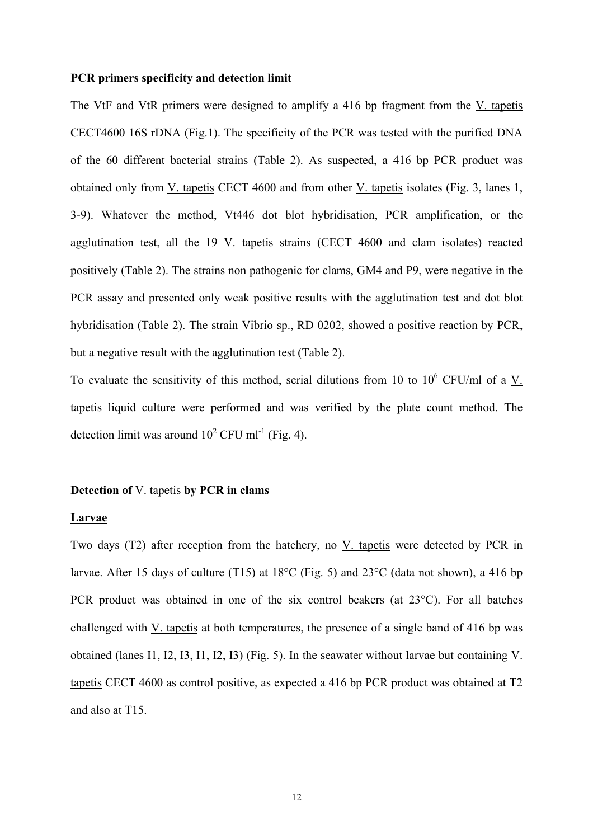#### **PCR primers specificity and detection limit**

The VtF and VtR primers were designed to amplify a 416 bp fragment from the V. tapetis CECT4600 16S rDNA (Fig.1). The specificity of the PCR was tested with the purified DNA of the 60 different bacterial strains (Table 2). As suspected, a 416 bp PCR product was obtained only from V. tapetis CECT 4600 and from other V. tapetis isolates (Fig. 3, lanes 1, 3-9). Whatever the method, Vt446 dot blot hybridisation, PCR amplification, or the agglutination test, all the 19 V. tapetis strains (CECT 4600 and clam isolates) reacted positively (Table 2). The strains non pathogenic for clams, GM4 and P9, were negative in the PCR assay and presented only weak positive results with the agglutination test and dot blot hybridisation (Table 2). The strain Vibrio sp., RD 0202, showed a positive reaction by PCR, but a negative result with the agglutination test (Table 2).

To evaluate the sensitivity of this method, serial dilutions from 10 to  $10^6$  CFU/ml of a  $V$ .</u> tapetis liquid culture were performed and was verified by the plate count method. The detection limit was around  $10^2$  CFU ml<sup>-1</sup> (Fig. 4).

### **Detection of** V. tapetis **by PCR in clams**

### **Larvae**

Two days (T2) after reception from the hatchery, no V. tapetis were detected by PCR in larvae. After 15 days of culture (T15) at  $18^{\circ}$ C (Fig. 5) and  $23^{\circ}$ C (data not shown), a 416 bp PCR product was obtained in one of the six control beakers (at 23°C). For all batches challenged with V. tapetis at both temperatures, the presence of a single band of 416 bp was obtained (lanes I1, I2, I3, I1, I2, I3) (Fig. 5). In the seawater without larvae but containing V. tapetis CECT 4600 as control positive, as expected a 416 bp PCR product was obtained at T2 and also at T15.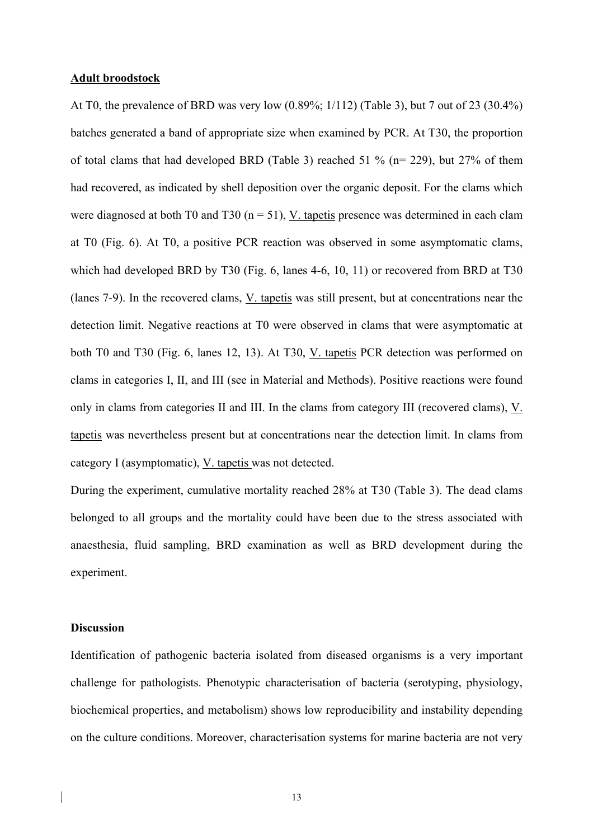### **Adult broodstock**

At T0, the prevalence of BRD was very low (0.89%; 1/112) (Table 3), but 7 out of 23 (30.4%) batches generated a band of appropriate size when examined by PCR. At T30, the proportion of total clams that had developed BRD (Table 3) reached 51 % (n= 229), but 27% of them had recovered, as indicated by shell deposition over the organic deposit. For the clams which were diagnosed at both T0 and T30 ( $n = 51$ ), V. tapetis presence was determined in each clam at T0 (Fig. 6). At T0, a positive PCR reaction was observed in some asymptomatic clams, which had developed BRD by T30 (Fig. 6, lanes 4-6, 10, 11) or recovered from BRD at T30 (lanes 7-9). In the recovered clams, V. tapetis was still present, but at concentrations near the detection limit. Negative reactions at T0 were observed in clams that were asymptomatic at both T0 and T30 (Fig. 6, lanes 12, 13). At T30, V. tapetis PCR detection was performed on clams in categories I, II, and III (see in Material and Methods). Positive reactions were found only in clams from categories II and III. In the clams from category III (recovered clams), V. tapetis was nevertheless present but at concentrations near the detection limit. In clams from category I (asymptomatic), V. tapetis was not detected.

During the experiment, cumulative mortality reached 28% at T30 (Table 3). The dead clams belonged to all groups and the mortality could have been due to the stress associated with anaesthesia, fluid sampling, BRD examination as well as BRD development during the experiment.

# **Discussion**

Identification of pathogenic bacteria isolated from diseased organisms is a very important challenge for pathologists. Phenotypic characterisation of bacteria (serotyping, physiology, biochemical properties, and metabolism) shows low reproducibility and instability depending on the culture conditions. Moreover, characterisation systems for marine bacteria are not very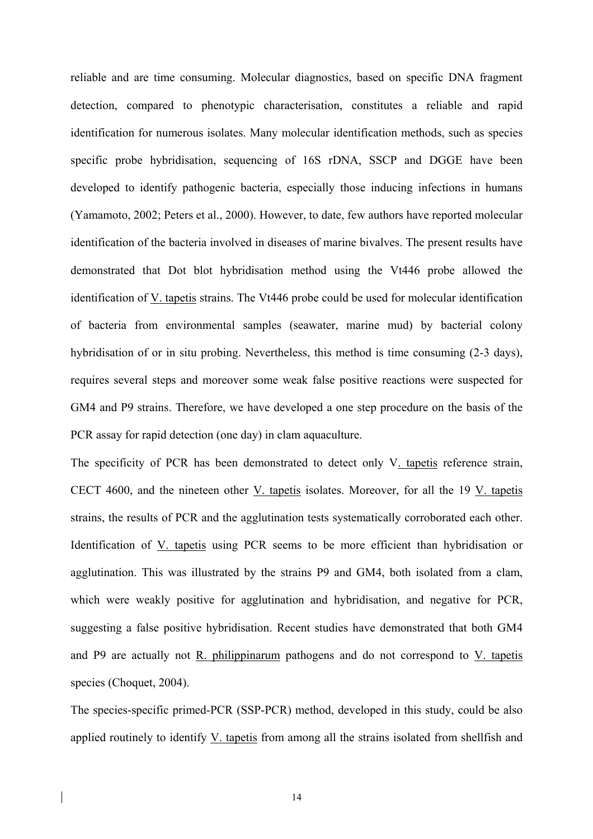reliable and are time consuming. Molecular diagnostics, based on specific DNA fragment detection, compared to phenotypic characterisation, constitutes a reliable and rapid identification for numerous isolates. Many molecular identification methods, such as species specific probe hybridisation, sequencing of 16S rDNA, SSCP and DGGE have been developed to identify pathogenic bacteria, especially those inducing infections in humans (Yamamoto, 2002; Peters et al., 2000). However, to date, few authors have reported molecular identification of the bacteria involved in diseases of marine bivalves. The present results have demonstrated that Dot blot hybridisation method using the Vt446 probe allowed the identification of V. tapetis strains. The Vt446 probe could be used for molecular identification of bacteria from environmental samples (seawater, marine mud) by bacterial colony hybridisation of or in situ probing. Nevertheless, this method is time consuming (2-3 days), requires several steps and moreover some weak false positive reactions were suspected for GM4 and P9 strains. Therefore, we have developed a one step procedure on the basis of the PCR assay for rapid detection (one day) in clam aquaculture.

The specificity of PCR has been demonstrated to detect only V<sub>-tapetis</sub> reference strain, CECT 4600, and the nineteen other V. tapetis isolates. Moreover, for all the 19 V. tapetis strains, the results of PCR and the agglutination tests systematically corroborated each other. Identification of V. tapetis using PCR seems to be more efficient than hybridisation or agglutination. This was illustrated by the strains P9 and GM4, both isolated from a clam, which were weakly positive for agglutination and hybridisation, and negative for PCR, suggesting a false positive hybridisation. Recent studies have demonstrated that both GM4 and P9 are actually not R. philippinarum pathogens and do not correspond to V. tapetis species (Choquet, 2004).

The species-specific primed-PCR (SSP-PCR) method, developed in this study, could be also applied routinely to identify V. tapetis from among all the strains isolated from shellfish and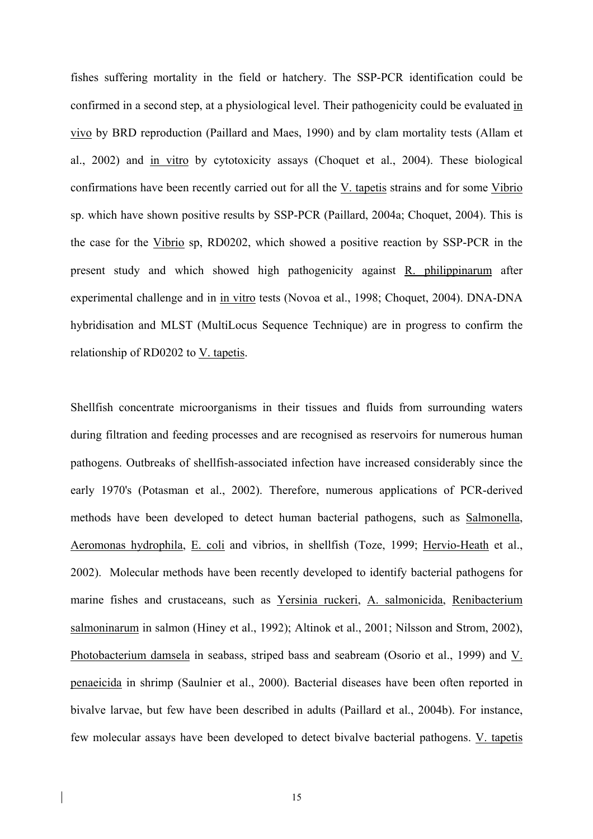fishes suffering mortality in the field or hatchery. The SSP-PCR identification could be confirmed in a second step, at a physiological level. Their pathogenicity could be evaluated in vivo by BRD reproduction (Paillard and Maes, 1990) and by clam mortality tests (Allam et al., 2002) and in vitro by cytotoxicity assays (Choquet et al., 2004). These biological confirmations have been recently carried out for all the V. tapetis strains and for some Vibrio sp. which have shown positive results by SSP-PCR (Paillard, 2004a; Choquet, 2004). This is the case for the Vibrio sp, RD0202, which showed a positive reaction by SSP-PCR in the present study and which showed high pathogenicity against R. philippinarum after experimental challenge and in in vitro tests (Novoa et al., 1998; Choquet, 2004). DNA-DNA hybridisation and MLST (MultiLocus Sequence Technique) are in progress to confirm the relationship of RD0202 to V. tapetis.

Shellfish concentrate microorganisms in their tissues and fluids from surrounding waters during filtration and feeding processes and are recognised as reservoirs for numerous human pathogens. Outbreaks of shellfish-associated infection have increased considerably since the early 1970's (Potasman et al., 2002). Therefore, numerous applications of PCR-derived methods have been developed to detect human bacterial pathogens, such as Salmonella, Aeromonas hydrophila, E. coli and vibrios, in shellfish (Toze, 1999; Hervio-Heath et al., 2002). Molecular methods have been recently developed to identify bacterial pathogens for marine fishes and crustaceans, such as Yersinia ruckeri, A. salmonicida, Renibacterium salmoninarum in salmon (Hiney et al., 1992); Altinok et al., 2001; Nilsson and Strom, 2002), Photobacterium damsela in seabass, striped bass and seabream (Osorio et al., 1999) and V. penaeicida in shrimp (Saulnier et al., 2000). Bacterial diseases have been often reported in bivalve larvae, but few have been described in adults (Paillard et al., 2004b). For instance, few molecular assays have been developed to detect bivalve bacterial pathogens. V. tapetis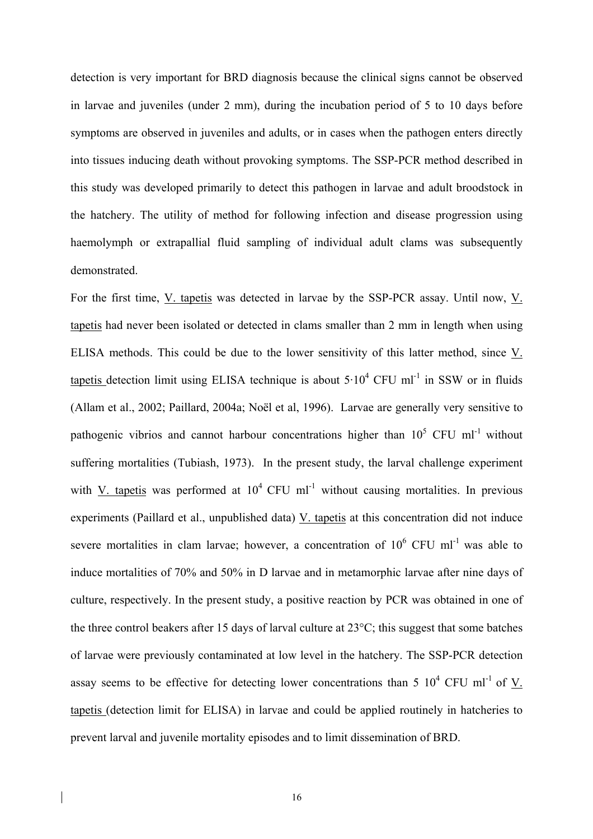detection is very important for BRD diagnosis because the clinical signs cannot be observed in larvae and juveniles (under 2 mm), during the incubation period of 5 to 10 days before symptoms are observed in juveniles and adults, or in cases when the pathogen enters directly into tissues inducing death without provoking symptoms. The SSP-PCR method described in this study was developed primarily to detect this pathogen in larvae and adult broodstock in the hatchery. The utility of method for following infection and disease progression using haemolymph or extrapallial fluid sampling of individual adult clams was subsequently demonstrated.

For the first time, V. tapetis was detected in larvae by the SSP-PCR assay. Until now,  $V_{.}$ tapetis had never been isolated or detected in clams smaller than 2 mm in length when using ELISA methods. This could be due to the lower sensitivity of this latter method, since V. tapetis detection limit using ELISA technique is about  $5 \cdot 10^4$  CFU ml<sup>-1</sup> in SSW or in fluids (Allam et al., 2002; Paillard, 2004a; Noël et al, 1996). Larvae are generally very sensitive to pathogenic vibrios and cannot harbour concentrations higher than  $10^5$  CFU ml<sup>-1</sup> without suffering mortalities (Tubiash, 1973). In the present study, the larval challenge experiment with V. tapetis was performed at  $10^4$  CFU ml<sup>-1</sup> without causing mortalities. In previous experiments (Paillard et al., unpublished data) V. tapetis at this concentration did not induce severe mortalities in clam larvae; however, a concentration of  $10^6$  CFU ml<sup>-1</sup> was able to induce mortalities of 70% and 50% in D larvae and in metamorphic larvae after nine days of culture, respectively. In the present study, a positive reaction by PCR was obtained in one of the three control beakers after 15 days of larval culture at 23°C; this suggest that some batches of larvae were previously contaminated at low level in the hatchery. The SSP-PCR detection assay seems to be effective for detecting lower concentrations than 5  $10^4$  CFU ml<sup>-1</sup> of <u>V</u>. tapetis (detection limit for ELISA) in larvae and could be applied routinely in hatcheries to prevent larval and juvenile mortality episodes and to limit dissemination of BRD.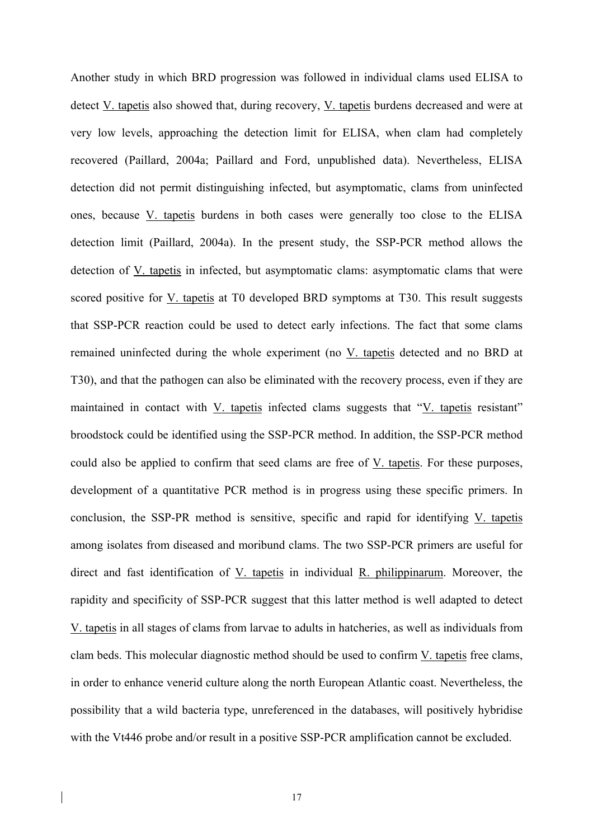Another study in which BRD progression was followed in individual clams used ELISA to detect V. tapetis also showed that, during recovery, V. tapetis burdens decreased and were at very low levels, approaching the detection limit for ELISA, when clam had completely recovered (Paillard, 2004a; Paillard and Ford, unpublished data). Nevertheless, ELISA detection did not permit distinguishing infected, but asymptomatic, clams from uninfected ones, because V. tapetis burdens in both cases were generally too close to the ELISA detection limit (Paillard, 2004a). In the present study, the SSP-PCR method allows the detection of V. tapetis in infected, but asymptomatic clams: asymptomatic clams that were scored positive for V. tapetis at T0 developed BRD symptoms at T30. This result suggests that SSP-PCR reaction could be used to detect early infections. The fact that some clams remained uninfected during the whole experiment (no V. tapetis detected and no BRD at T30), and that the pathogen can also be eliminated with the recovery process, even if they are maintained in contact with V. tapetis infected clams suggests that "V. tapetis resistant" broodstock could be identified using the SSP-PCR method. In addition, the SSP-PCR method could also be applied to confirm that seed clams are free of V. tapetis. For these purposes, development of a quantitative PCR method is in progress using these specific primers. In conclusion, the SSP-PR method is sensitive, specific and rapid for identifying V. tapetis among isolates from diseased and moribund clams. The two SSP-PCR primers are useful for direct and fast identification of V. tapetis in individual R. philippinarum. Moreover, the rapidity and specificity of SSP-PCR suggest that this latter method is well adapted to detect V. tapetis in all stages of clams from larvae to adults in hatcheries, as well as individuals from clam beds. This molecular diagnostic method should be used to confirm V. tapetis free clams, in order to enhance venerid culture along the north European Atlantic coast. Nevertheless, the possibility that a wild bacteria type, unreferenced in the databases, will positively hybridise with the Vt446 probe and/or result in a positive SSP-PCR amplification cannot be excluded.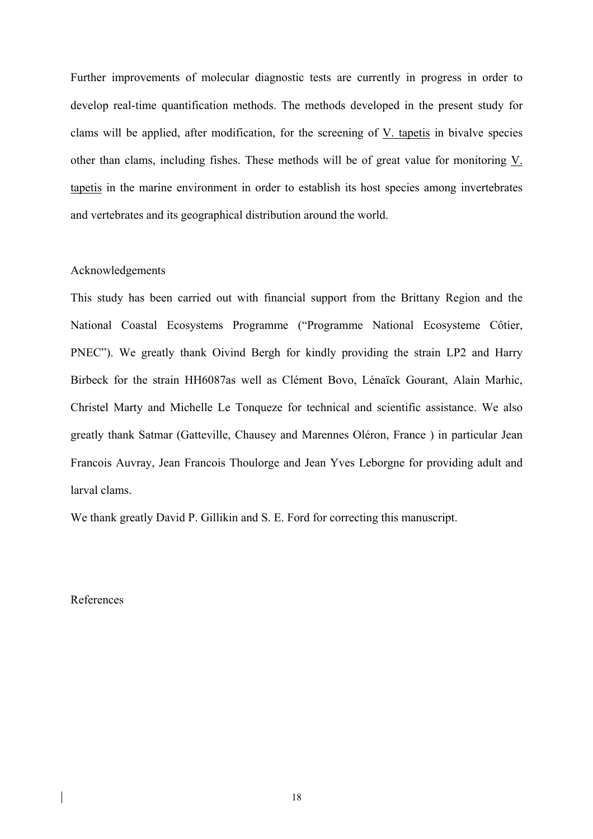Further improvements of molecular diagnostic tests are currently in progress in order to develop real-time quantification methods. The methods developed in the present study for clams will be applied, after modification, for the screening of V. tapetis in bivalve species other than clams, including fishes. These methods will be of great value for monitoring V. tapetis in the marine environment in order to establish its host species among invertebrates and vertebrates and its geographical distribution around the world.

# Acknowledgements

This study has been carried out with financial support from the Brittany Region and the National Coastal Ecosystems Programme ("Programme National Ecosysteme Côtier, PNEC"). We greatly thank Oivind Bergh for kindly providing the strain LP2 and Harry Birbeck for the strain HH6087as well as Clément Bovo, Lénaïck Gourant, Alain Marhic, Christel Marty and Michelle Le Tonqueze for technical and scientific assistance. We also greatly thank Satmar (Gatteville, Chausey and Marennes Oléron, France ) in particular Jean Francois Auvray, Jean Francois Thoulorge and Jean Yves Leborgne for providing adult and larval clams.

We thank greatly David P. Gillikin and S. E. Ford for correcting this manuscript.

### References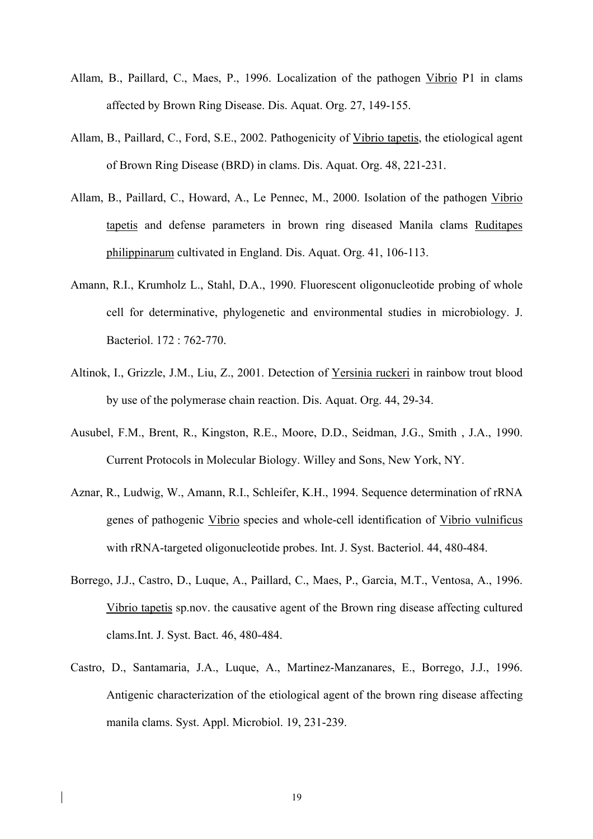- Allam, B., Paillard, C., Maes, P., 1996. Localization of the pathogen Vibrio P1 in clams affected by Brown Ring Disease. Dis. Aquat. Org. 27, 149-155.
- Allam, B., Paillard, C., Ford, S.E., 2002. Pathogenicity of Vibrio tapetis, the etiological agent of Brown Ring Disease (BRD) in clams. Dis. Aquat. Org. 48, 221-231.
- Allam, B., Paillard, C., Howard, A., Le Pennec, M., 2000. Isolation of the pathogen Vibrio tapetis and defense parameters in brown ring diseased Manila clams Ruditapes philippinarum cultivated in England. Dis. Aquat. Org. 41, 106-113.
- Amann, R.I., Krumholz L., Stahl, D.A., 1990. Fluorescent oligonucleotide probing of whole cell for determinative, phylogenetic and environmental studies in microbiology. J. Bacteriol. 172 : 762-770.
- Altinok, I., Grizzle, J.M., Liu, Z., 2001. Detection of Yersinia ruckeri in rainbow trout blood by use of the polymerase chain reaction. Dis. Aquat. Org. 44, 29-34.
- Ausubel, F.M., Brent, R., Kingston, R.E., Moore, D.D., Seidman, J.G., Smith , J.A., 1990. Current Protocols in Molecular Biology. Willey and Sons, New York, NY.
- Aznar, R., Ludwig, W., Amann, R.I., Schleifer, K.H., 1994. Sequence determination of rRNA genes of pathogenic Vibrio species and whole-cell identification of Vibrio vulnificus with rRNA-targeted oligonucleotide probes. Int. J. Syst. Bacteriol. 44, 480-484.
- Borrego, J.J., Castro, D., Luque, A., Paillard, C., Maes, P., Garcia, M.T., Ventosa, A., 1996. Vibrio tapetis sp.nov. the causative agent of the Brown ring disease affecting cultured clams.Int. J. Syst. Bact. 46, 480-484.
- Castro, D., Santamaria, J.A., Luque, A., Martinez-Manzanares, E., Borrego, J.J., 1996. Antigenic characterization of the etiological agent of the brown ring disease affecting manila clams. Syst. Appl. Microbiol. 19, 231-239.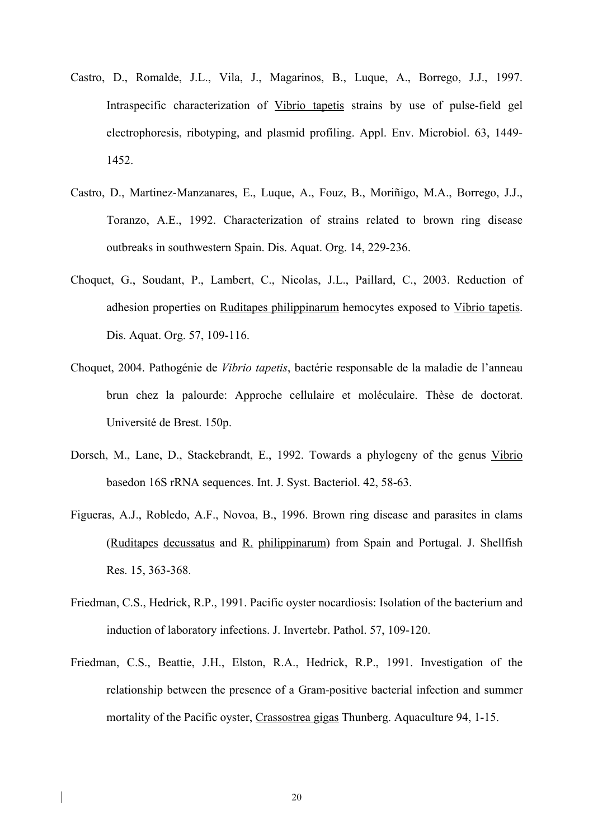- Castro, D., Romalde, J.L., Vila, J., Magarinos, B., Luque, A., Borrego, J.J., 1997. Intraspecific characterization of Vibrio tapetis strains by use of pulse-field gel electrophoresis, ribotyping, and plasmid profiling. Appl. Env. Microbiol. 63, 1449- 1452.
- Castro, D., Martinez-Manzanares, E., Luque, A., Fouz, B., Moriñigo, M.A., Borrego, J.J., Toranzo, A.E., 1992. Characterization of strains related to brown ring disease outbreaks in southwestern Spain. Dis. Aquat. Org. 14, 229-236.
- Choquet, G., Soudant, P., Lambert, C., Nicolas, J.L., Paillard, C., 2003. Reduction of adhesion properties on Ruditapes philippinarum hemocytes exposed to Vibrio tapetis. Dis. Aquat. Org. 57, 109-116.
- Choquet, 2004. Pathogénie de *Vibrio tapetis*, bactérie responsable de la maladie de l'anneau brun chez la palourde: Approche cellulaire et moléculaire. Thèse de doctorat. Université de Brest. 150p.
- Dorsch, M., Lane, D., Stackebrandt, E., 1992. Towards a phylogeny of the genus Vibrio basedon 16S rRNA sequences. Int. J. Syst. Bacteriol. 42, 58-63.
- Figueras, A.J., Robledo, A.F., Novoa, B., 1996. Brown ring disease and parasites in clams (Ruditapes decussatus and R. philippinarum) from Spain and Portugal. J. Shellfish Res. 15, 363-368.
- Friedman, C.S., Hedrick, R.P., 1991. Pacific oyster nocardiosis: Isolation of the bacterium and induction of laboratory infections. J. Invertebr. Pathol. 57, 109-120.
- Friedman, C.S., Beattie, J.H., Elston, R.A., Hedrick, R.P., 1991. Investigation of the relationship between the presence of a Gram-positive bacterial infection and summer mortality of the Pacific oyster, Crassostrea gigas Thunberg. Aquaculture 94, 1-15.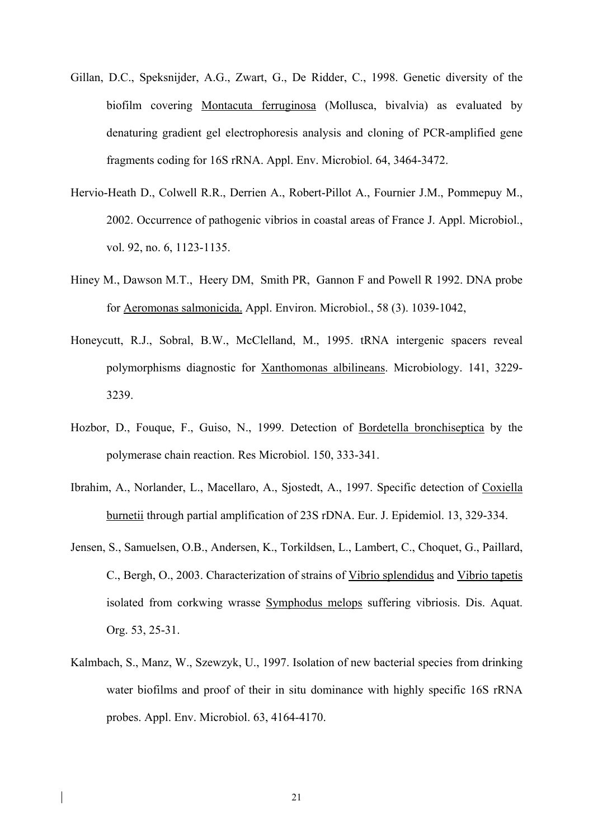- Gillan, D.C., Speksnijder, A.G., Zwart, G., De Ridder, C., 1998. Genetic diversity of the biofilm covering Montacuta ferruginosa (Mollusca, bivalvia) as evaluated by denaturing gradient gel electrophoresis analysis and cloning of PCR-amplified gene fragments coding for 16S rRNA. Appl. Env. Microbiol. 64, 3464-3472.
- Hervio-Heath D., Colwell R.R., Derrien A., Robert-Pillot A., Fournier J.M., Pommepuy M., 2002. Occurrence of pathogenic vibrios in coastal areas of France J. Appl. Microbiol., vol. 92, no. 6, 1123-1135.
- Hiney M., Dawson M.T., Heery DM, Smith PR, Gannon F and Powell R 1992. DNA probe for Aeromonas salmonicida. Appl. Environ. Microbiol., 58 (3). 1039-1042,
- Honeycutt, R.J., Sobral, B.W., McClelland, M., 1995. tRNA intergenic spacers reveal polymorphisms diagnostic for Xanthomonas albilineans. Microbiology. 141, 3229- 3239.
- Hozbor, D., Fouque, F., Guiso, N., 1999. Detection of Bordetella bronchiseptica by the polymerase chain reaction. Res Microbiol. 150, 333-341.
- Ibrahim, A., Norlander, L., Macellaro, A., Sjostedt, A., 1997. Specific detection of Coxiella burnetii through partial amplification of 23S rDNA. Eur. J. Epidemiol. 13, 329-334.
- Jensen, S., Samuelsen, O.B., Andersen, K., Torkildsen, L., Lambert, C., Choquet, G., Paillard, C., Bergh, O., 2003. Characterization of strains of Vibrio splendidus and Vibrio tapetis isolated from corkwing wrasse Symphodus melops suffering vibriosis. Dis. Aquat. Org. 53, 25-31.
- Kalmbach, S., Manz, W., Szewzyk, U., 1997. Isolation of new bacterial species from drinking water biofilms and proof of their in situ dominance with highly specific 16S rRNA probes. Appl. Env. Microbiol. 63, 4164-4170.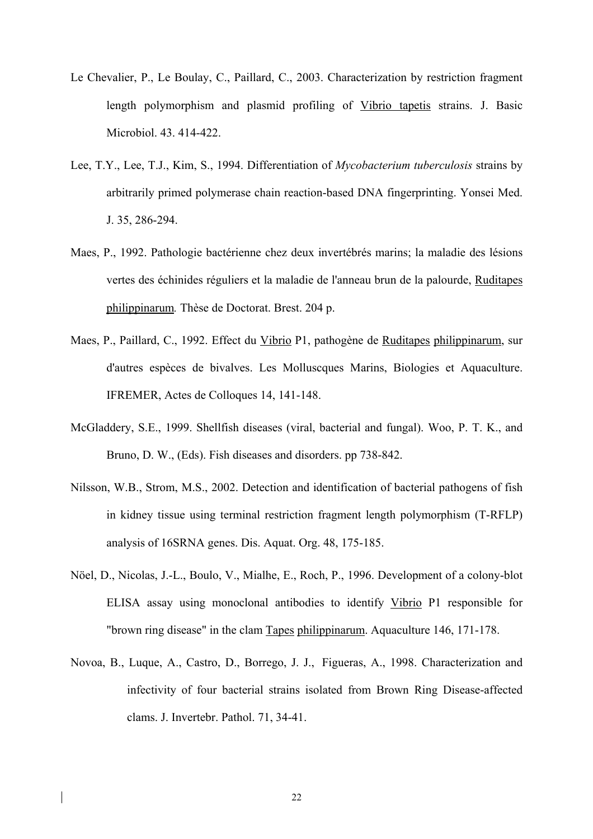- Le Chevalier, P., Le Boulay, C., Paillard, C., 2003. Characterization by restriction fragment length polymorphism and plasmid profiling of Vibrio tapetis strains. J. Basic Microbiol. 43. 414-422.
- Lee, T.Y., Lee, T.J., Kim, S., 1994. Differentiation of *Mycobacterium tuberculosis* strains by arbitrarily primed polymerase chain reaction-based DNA fingerprinting. Yonsei Med. J. 35, 286-294.
- Maes, P., 1992. Pathologie bactérienne chez deux invertébrés marins; la maladie des lésions vertes des échinides réguliers et la maladie de l'anneau brun de la palourde, Ruditapes philippinarum*.* Thèse de Doctorat. Brest. 204 p.
- Maes, P., Paillard, C., 1992. Effect du Vibrio P1, pathogène de Ruditapes philippinarum, sur d'autres espèces de bivalves. Les Molluscques Marins, Biologies et Aquaculture. IFREMER, Actes de Colloques 14, 141-148.
- McGladdery, S.E., 1999. Shellfish diseases (viral, bacterial and fungal). Woo, P. T. K., and Bruno, D. W., (Eds). Fish diseases and disorders. pp 738-842.
- Nilsson, W.B., Strom, M.S., 2002. Detection and identification of bacterial pathogens of fish in kidney tissue using terminal restriction fragment length polymorphism (T-RFLP) analysis of 16SRNA genes. Dis. Aquat. Org. 48, 175-185.
- Nöel, D., Nicolas, J.-L., Boulo, V., Mialhe, E., Roch, P., 1996. Development of a colony-blot ELISA assay using monoclonal antibodies to identify Vibrio P1 responsible for "brown ring disease" in the clam Tapes philippinarum. Aquaculture 146, 171-178.
- Novoa, B., Luque, A., Castro, D., Borrego, J. J., Figueras, A., 1998. Characterization and infectivity of four bacterial strains isolated from Brown Ring Disease-affected clams. J. Invertebr. Pathol. 71, 34-41.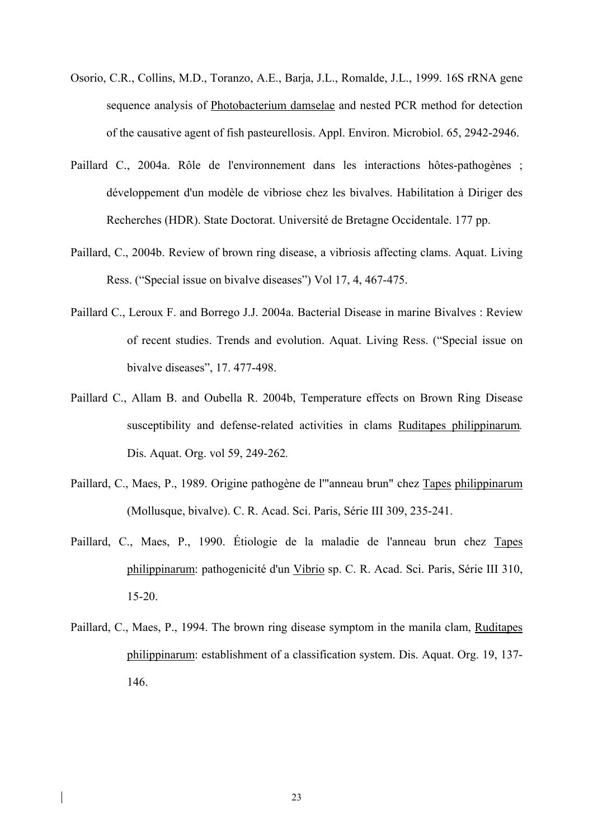- Osorio, C.R., Collins, M.D., Toranzo, A.E., Barja, J.L., Romalde, J.L., 1999. 16S rRNA gene sequence analysis of Photobacterium damselae and nested PCR method for detection of the causative agent of fish pasteurellosis. Appl. Environ. Microbiol. 65, 2942-2946.
- Paillard C., 2004a. Rôle de l'environnement dans les interactions hôtes-pathogènes ; développement d'un modèle de vibriose chez les bivalves. Habilitation à Diriger des Recherches (HDR). State Doctorat. Université de Bretagne Occidentale. 177 pp.
- Paillard, C., 2004b. Review of brown ring disease, a vibriosis affecting clams. Aquat. Living Ress. ("Special issue on bivalve diseases") Vol 17, 4, 467-475.
- Paillard C., Leroux F. and Borrego J.J. 2004a. Bacterial Disease in marine Bivalves : Review of recent studies. Trends and evolution. Aquat. Living Ress. ("Special issue on bivalve diseases", 17. 477-498.
- Paillard C., Allam B. and Oubella R. 2004b, Temperature effects on Brown Ring Disease susceptibility and defense-related activities in clams Ruditapes philippinarum*.*  Dis. Aquat. Org. vol 59, 249-262*.*
- Paillard, C., Maes, P., 1989. Origine pathogène de l'"anneau brun" chez Tapes philippinarum (Mollusque, bivalve). C. R. Acad. Sci. Paris, Série III 309, 235-241.
- Paillard, C., Maes, P., 1990. Étiologie de la maladie de l'anneau brun chez Tapes philippinarum: pathogenicité d'un Vibrio sp. C. R. Acad. Sci. Paris, Série III 310, 15-20.
- Paillard, C., Maes, P., 1994. The brown ring disease symptom in the manila clam, Ruditapes philippinarum: establishment of a classification system. Dis. Aquat. Org. 19, 137- 146.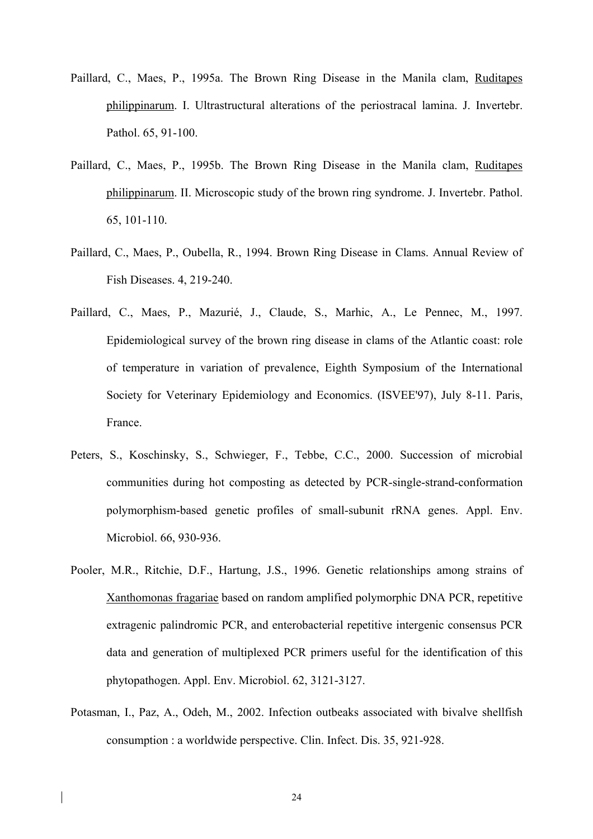- Paillard, C., Maes, P., 1995a. The Brown Ring Disease in the Manila clam, Ruditapes philippinarum. I. Ultrastructural alterations of the periostracal lamina. J. Invertebr. Pathol. 65, 91-100.
- Paillard, C., Maes, P., 1995b. The Brown Ring Disease in the Manila clam, Ruditapes philippinarum. II. Microscopic study of the brown ring syndrome. J. Invertebr. Pathol. 65, 101-110.
- Paillard, C., Maes, P., Oubella, R., 1994. Brown Ring Disease in Clams. Annual Review of Fish Diseases. 4, 219-240.
- Paillard, C., Maes, P., Mazurié, J., Claude, S., Marhic, A., Le Pennec, M., 1997. Epidemiological survey of the brown ring disease in clams of the Atlantic coast: role of temperature in variation of prevalence, Eighth Symposium of the International Society for Veterinary Epidemiology and Economics. (ISVEE'97), July 8-11. Paris, France.
- Peters, S., Koschinsky, S., Schwieger, F., Tebbe, C.C., 2000. Succession of microbial communities during hot composting as detected by PCR-single-strand-conformation polymorphism-based genetic profiles of small-subunit rRNA genes. Appl. Env. Microbiol. 66, 930-936.
- Pooler, M.R., Ritchie, D.F., Hartung, J.S., 1996. Genetic relationships among strains of Xanthomonas fragariae based on random amplified polymorphic DNA PCR, repetitive extragenic palindromic PCR, and enterobacterial repetitive intergenic consensus PCR data and generation of multiplexed PCR primers useful for the identification of this phytopathogen. Appl. Env. Microbiol. 62, 3121-3127.
- Potasman, I., Paz, A., Odeh, M., 2002. Infection outbeaks associated with bivalve shellfish consumption : a worldwide perspective. Clin. Infect. Dis. 35, 921-928.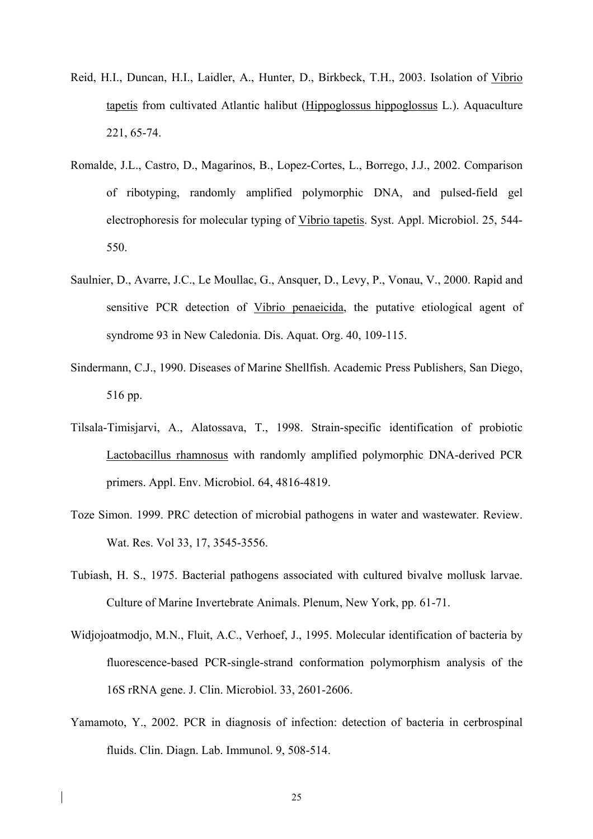- Reid, H.I., Duncan, H.I., Laidler, A., Hunter, D., Birkbeck, T.H., 2003. Isolation of Vibrio tapetis from cultivated Atlantic halibut (Hippoglossus hippoglossus L.). Aquaculture 221, 65-74.
- Romalde, J.L., Castro, D., Magarinos, B., Lopez-Cortes, L., Borrego, J.J., 2002. Comparison of ribotyping, randomly amplified polymorphic DNA, and pulsed-field gel electrophoresis for molecular typing of Vibrio tapetis. Syst. Appl. Microbiol. 25, 544- 550.
- Saulnier, D., Avarre, J.C., Le Moullac, G., Ansquer, D., Levy, P., Vonau, V., 2000. Rapid and sensitive PCR detection of Vibrio penaeicida, the putative etiological agent of syndrome 93 in New Caledonia. Dis. Aquat. Org. 40, 109-115.
- Sindermann, C.J., 1990. Diseases of Marine Shellfish. Academic Press Publishers, San Diego, 516 pp.
- Tilsala-Timisjarvi, A., Alatossava, T., 1998. Strain-specific identification of probiotic Lactobacillus rhamnosus with randomly amplified polymorphic DNA-derived PCR primers. Appl. Env. Microbiol. 64, 4816-4819.
- Toze Simon. 1999. PRC detection of microbial pathogens in water and wastewater. Review. Wat. Res. Vol 33, 17, 3545-3556.
- Tubiash, H. S., 1975. Bacterial pathogens associated with cultured bivalve mollusk larvae. Culture of Marine Invertebrate Animals. Plenum, New York, pp. 61-71.
- Widjojoatmodjo, M.N., Fluit, A.C., Verhoef, J., 1995. Molecular identification of bacteria by fluorescence-based PCR-single-strand conformation polymorphism analysis of the 16S rRNA gene. J. Clin. Microbiol. 33, 2601-2606.
- Yamamoto, Y., 2002. PCR in diagnosis of infection: detection of bacteria in cerbrospinal fluids. Clin. Diagn. Lab. Immunol. 9, 508-514.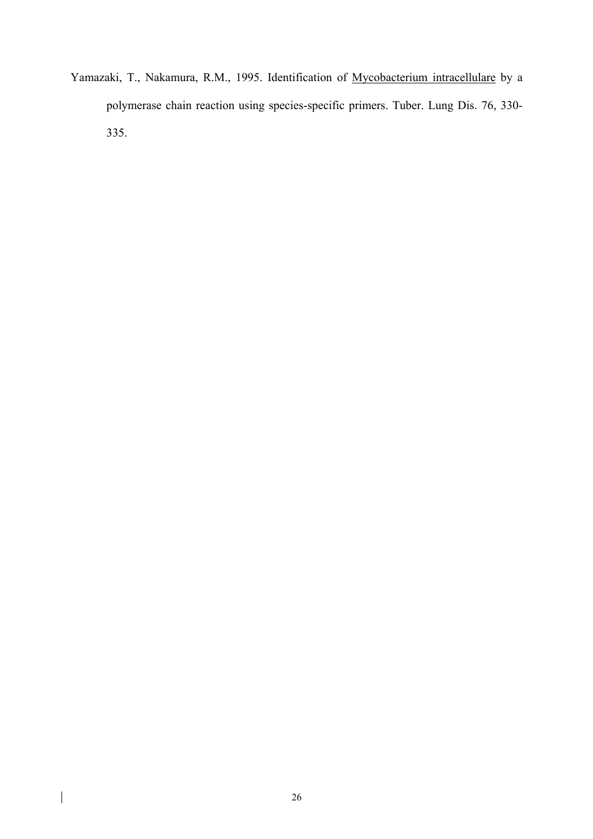Yamazaki, T., Nakamura, R.M., 1995. Identification of Mycobacterium intracellulare by a polymerase chain reaction using species-specific primers. Tuber. Lung Dis. 76, 330- 335.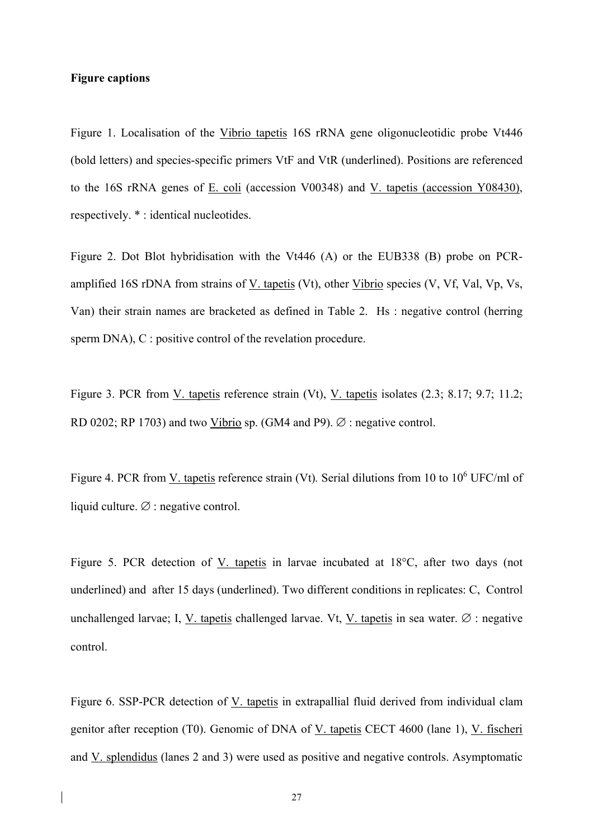### **Figure captions**

Figure 1. Localisation of the Vibrio tapetis 16S rRNA gene oligonucleotidic probe Vt446 (bold letters) and species-specific primers VtF and VtR (underlined). Positions are referenced to the 16S rRNA genes of E. coli (accession V00348) and V. tapetis (accession Y08430), respectively. \* : identical nucleotides.

Figure 2. Dot Blot hybridisation with the Vt446 (A) or the EUB338 (B) probe on PCRamplified 16S rDNA from strains of V. tapetis (Vt), other Vibrio species (V, Vf, Val, Vp, Vs, Van) their strain names are bracketed as defined in Table 2. Hs : negative control (herring sperm DNA), C : positive control of the revelation procedure.

Figure 3. PCR from V. tapetis reference strain (Vt), V. tapetis isolates (2.3; 8.17; 9.7; 11.2; RD 0202; RP 1703) and two Vibrio sp. (GM4 and P9).  $\varnothing$  : negative control.

Figure 4. PCR from <u>V. tapetis</u> reference strain (Vt). Serial dilutions from 10 to 10<sup>6</sup> UFC/ml of liquid culture. ∅ : negative control.

Figure 5. PCR detection of V. tapetis in larvae incubated at 18°C, after two days (not underlined) and after 15 days (underlined). Two different conditions in replicates: C, Control unchallenged larvae; I, V. tapetis challenged larvae. Vt, V. tapetis in sea water. ∅ : negative control.

Figure 6. SSP-PCR detection of V. tapetis in extrapallial fluid derived from individual clam genitor after reception (T0). Genomic of DNA of V. tapetis CECT 4600 (lane 1), V. fischeri and V. splendidus (lanes 2 and 3) were used as positive and negative controls. Asymptomatic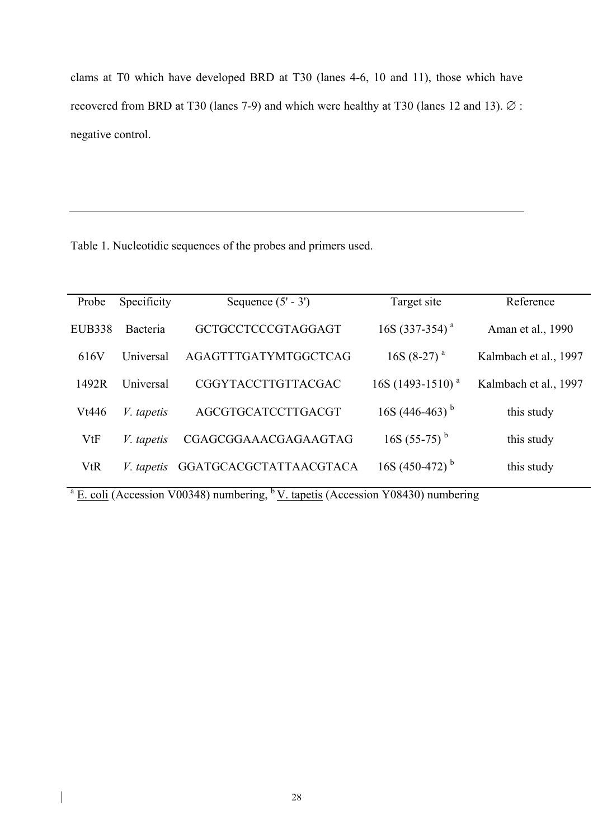clams at T0 which have developed BRD at T30 (lanes 4-6, 10 and 11), those which have recovered from BRD at T30 (lanes 7-9) and which were healthy at T30 (lanes 12 and 13). ∅ : negative control.

Table 1. Nucleotidic sequences of the probes and primers used.

| Probe      | Specificity       | Sequence $(5' - 3')$      | Target site                | Reference             |  |  |
|------------|-------------------|---------------------------|----------------------------|-----------------------|--|--|
| EUB338     | Bacteria          | GCTGCCTCCCGTAGGAGT        | $16S(337-354)^{a}$         | Aman et al., 1990     |  |  |
| 616V       | Universal         | AGAGTTTGATYMTGGCTCAG      | $16S(8-27)^{a}$            | Kalmbach et al., 1997 |  |  |
| 1492R      | Universal         | <b>CGGYTACCTTGTTACGAC</b> | $16S(1493-1510)^{a}$       | Kalmbach et al., 1997 |  |  |
| Vt446      | <i>V.</i> tapetis | AGCGTGCATCCTTGACGT        | 16S (446-463) <sup>b</sup> | this study            |  |  |
| VtF        | <i>V.</i> tapetis | CGAGCGGAAACGAGAAGTAG      | 16S $(55-75)^{b}$          | this study            |  |  |
| <b>VtR</b> | <i>V.</i> tapetis | GGATGCACGCTATTAACGTACA    | 16S (450-472) <sup>b</sup> | this study            |  |  |
|            |                   |                           |                            |                       |  |  |

 $a \underline{E}$ . coli (Accession V00348) numbering, <sup>b</sup> V. tapetis (Accession Y08430) numbering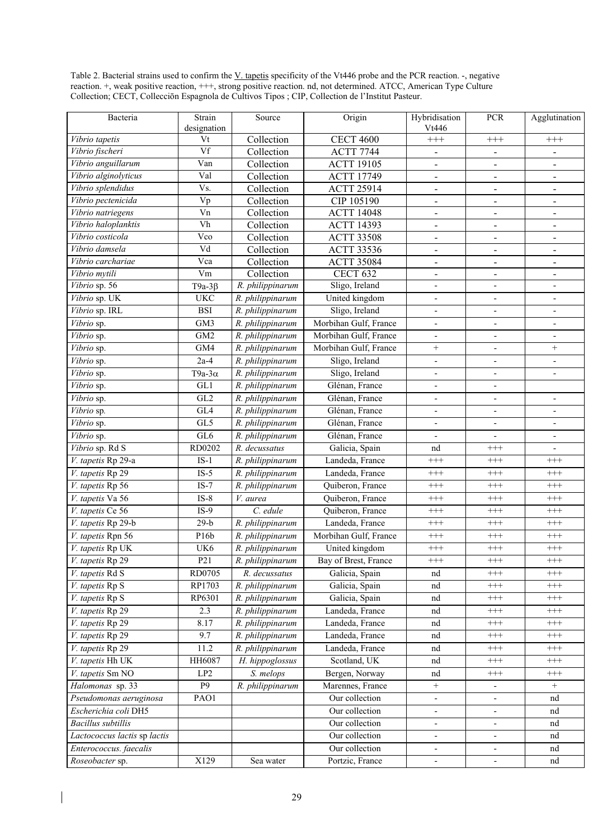Table 2. Bacterial strains used to confirm the V. tapetis specificity of the Vt446 probe and the PCR reaction. -, negative reaction. +, weak positive reaction, +++, strong positive reaction. nd, not determined. ATCC, American Type Culture Collection; CECT, Collecciōn Espagnola de Cultivos Tipos ; CIP, Collection de l'Institut Pasteur.

| Bacteria                                     | Strain                                        | Source           | Origin                | Hybridisation                | <b>PCR</b>               | Agglutination                |  |
|----------------------------------------------|-----------------------------------------------|------------------|-----------------------|------------------------------|--------------------------|------------------------------|--|
|                                              | designation                                   |                  |                       | Vt446                        |                          |                              |  |
| Vibrio tapetis                               | $\overline{Vt}$                               | Collection       | <b>CECT 4600</b>      | $^{+++}$                     | $^{+++}$                 | $^{+++}$                     |  |
| Vibrio fischeri                              | Vf                                            | Collection       | <b>ACTT 7744</b>      | $\qquad \qquad \blacksquare$ |                          | $\qquad \qquad \blacksquare$ |  |
| Vibrio anguillarum                           | Van                                           | Collection       | <b>ACTT 19105</b>     | $\blacksquare$               | $\blacksquare$           | $\blacksquare$               |  |
| Vibrio alginolyticus                         | Val                                           | Collection       | <b>ACTT 17749</b>     | $\qquad \qquad \blacksquare$ | $\blacksquare$           | $\overline{\phantom{a}}$     |  |
| Vibrio splendidus                            | Vs.                                           | Collection       | <b>ACTT 25914</b>     | $\overline{a}$               | $\overline{\phantom{0}}$ | $\blacksquare$               |  |
| Vibrio pectenicida                           | Vp                                            | Collection       | CIP 105190            | $\overline{a}$               |                          | $\overline{\phantom{a}}$     |  |
| Vibrio natriegens                            | $\overline{Vn}$                               | Collection       | <b>ACTT 14048</b>     | $\blacksquare$               |                          | $\overline{\phantom{0}}$     |  |
| Vibrio haloplanktis                          | Vh                                            | Collection       | <b>ACTT 14393</b>     | $\blacksquare$               | $\blacksquare$           | $\overline{\phantom{a}}$     |  |
| Vibrio costicola                             | Vco                                           | Collection       | <b>ACTT 33508</b>     | $\qquad \qquad \blacksquare$ |                          | $\qquad \qquad \blacksquare$ |  |
| Vibrio damsela                               | Vd                                            | Collection       | <b>ACTT 33536</b>     | $\blacksquare$               |                          | $\overline{\phantom{m}}$     |  |
| Vibrio carchariae                            | Vca                                           | Collection       | <b>ACTT 35084</b>     | $\blacksquare$               | $\overline{\phantom{a}}$ | $\blacksquare$               |  |
| Vibrio mytili                                | Vm                                            | Collection       | <b>CECT 632</b>       | $\overline{\phantom{a}}$     | $\overline{\phantom{a}}$ | $\overline{\phantom{a}}$     |  |
| Vibrio sp. 56                                | T9a-3 $\beta$                                 | R. philippinarum | Sligo, Ireland        | $\qquad \qquad \blacksquare$ | $\overline{\phantom{a}}$ | $\overline{\phantom{a}}$     |  |
| Vibrio sp. UK                                | <b>UKC</b>                                    | R. philippinarum | United kingdom        | $\overline{\phantom{a}}$     | $\overline{\phantom{a}}$ | $\overline{\phantom{a}}$     |  |
| Vibrio sp. IRL                               | <b>BSI</b>                                    | R. philippinarum | Sligo, Ireland        | $\overline{\phantom{a}}$     | $\overline{\phantom{a}}$ | $\overline{\phantom{a}}$     |  |
| Vibrio sp.                                   | GM3                                           | R. philippinarum | Morbihan Gulf, France | $\qquad \qquad \blacksquare$ | $\blacksquare$           | $\overline{\phantom{a}}$     |  |
| Vibrio sp.                                   | GM <sub>2</sub>                               | R. philippinarum | Morbihan Gulf, France | $\qquad \qquad \blacksquare$ |                          | $\overline{\phantom{a}}$     |  |
| Vibrio sp.                                   | GM4                                           | R. philippinarum | Morbihan Gulf, France | $^+$                         | $\overline{\phantom{a}}$ | $^{+}$                       |  |
| Vibrio sp.                                   | $2a-4$                                        | R. philippinarum | Sligo, Ireland        | $\overline{\phantom{a}}$     |                          | $\overline{\phantom{a}}$     |  |
| Vibrio sp.                                   | T9a-3 $\alpha$                                | R. philippinarum | Sligo, Ireland        | $\overline{\phantom{a}}$     |                          | $\overline{\phantom{a}}$     |  |
| Vibrio sp.                                   | GL1                                           | R. philippinarum | Glénan, France        | $\overline{\phantom{a}}$     |                          |                              |  |
| $\overline{V}$ ibrio sp.                     | GL <sub>2</sub>                               | R. philippinarum | Glénan, France        | $\overline{\phantom{a}}$     |                          | $\overline{\phantom{a}}$     |  |
| Vibrio sp.                                   | GL4                                           | R. philippinarum | Glénan, France        | $\overline{\phantom{a}}$     |                          | $\overline{\phantom{a}}$     |  |
| Vibrio sp.                                   | GL5                                           | R. philippinarum | Glénan, France        | $\qquad \qquad \blacksquare$ | $\overline{\phantom{0}}$ | $\overline{\phantom{a}}$     |  |
| Vibrio sp.                                   | GL6                                           | R. philippinarum | Glénan, France        | $\overline{\phantom{a}}$     | $\overline{\phantom{a}}$ | $\overline{\phantom{a}}$     |  |
| Vibrio sp. Rd S                              | RD0202                                        | R. decussatus    | Galicia, Spain        | nd                           | $^{+++}$                 | ÷,                           |  |
| V. tapetis Rp 29-a                           | $IS-1$                                        | R. philippinarum | Landeda, France       | $^{+++}$                     | $^{+++}$                 | $^{+++}$                     |  |
| V. tapetis Rp 29                             | $IS-5$<br>R. philippinarum<br>Landeda, France |                  | $^{+++}$              | $^{+++}$                     | $^{+++}$                 |                              |  |
| V. tapetis Rp 56                             | $IS-7$                                        | R. philippinarum | Quiberon, France      | $^{+++}$                     | $^{+++}$                 | $^{+++}$                     |  |
| V. tapetis Va 56                             | $IS-8$                                        | V. aurea         | Quiberon, France      | $^{+++}$                     | $^{+++}$                 | $^{+++}$                     |  |
| V. tapetis Ce 56                             | $IS-9$                                        | C. edule         | Quiberon, France      | $^{+++}$                     | $^{+++}$                 | $^{+++}$                     |  |
| V. tapetis Rp 29-b                           | $29-b$                                        | R. philippinarum | Landeda, France       | $^{+++}$                     | $^{+++}$                 | $^{+++}$                     |  |
| V. tapetis Rpn 56                            | P16b                                          | R. philippinarum | Morbihan Gulf, France | $^{+++}$                     | $^{+++}$                 | $^{+++}$                     |  |
| V. tapetis Rp UK                             | UK6                                           | R. philippinarum | United kingdom        | $\!+\!+\!+$                  | $^{+++}$                 | $^{+++}$                     |  |
| <i>V. tapetis</i> Rp 29                      | P21                                           | R. philippinarum | Bay of Brest, France  | $^{+++}$                     | $^{+++}$                 | $^{+++}$                     |  |
| V. tapetis Rd S                              | RD0705                                        | R. decussatus    | Galicia, Spain        | nd                           | $^{+++}$                 | $^{+++}$                     |  |
| V. tapetis Rp S                              | RP1703                                        | R. philippinarum | Galicia, Spain        | nd                           | $++++$                   | $^{+++}$                     |  |
| V. tapetis Rp S                              | RP6301                                        | R. philippinarum | Galicia, Spain        | nd                           | $^{+++}$                 | $^{+++}$                     |  |
| V. tapetis Rp 29                             | 2.3                                           | R. philippinarum | Landeda, France       | nd                           | $^{+++}$                 | $^{+++}$                     |  |
| V. tapetis Rp 29                             | 8.17                                          | R. philippinarum | Landeda, France       | nd                           | $++++$                   | $^{+++}$                     |  |
| V. tapetis Rp 29<br>9.7                      |                                               | R. philippinarum | Landeda, France       | nd                           | $^{+++}$                 | $^{+++}$                     |  |
| V. tapetis Rp 29<br>11.2<br>R. philippinarum |                                               | Landeda, France  | nd                    | $++++$                       | $^{+++}$                 |                              |  |
| V. tapetis Hh UK                             | HH6087                                        | H. hippoglossus  | Scotland, UK          | nd                           | $^{+++}$                 | $^{+++}$                     |  |
| V. tapetis Sm NO                             | LP2                                           | S. melops        | Bergen, Norway        | nd                           | $^{+++}$                 | $^{+++}$                     |  |
| Halomonas sp. 33                             | P <sub>9</sub>                                | R. philippinarum | Marennes, France      | $^+$                         | $\overline{\phantom{a}}$ | $\qquad \qquad +$            |  |
| Pseudomonas aeruginosa                       | PAO1                                          |                  | Our collection        | $\blacksquare$               | $\overline{\phantom{a}}$ | nd                           |  |
| Escherichia coli DH5                         |                                               |                  | Our collection        | $\blacksquare$               | $\overline{\phantom{a}}$ | nd                           |  |
| Bacillus subtillis                           |                                               |                  | Our collection        | $\qquad \qquad \blacksquare$ | $\overline{\phantom{a}}$ | nd                           |  |
| Lactococcus lactis sp lactis                 |                                               |                  | Our collection        | $\overline{\phantom{a}}$     |                          | nd                           |  |
| Enterococcus. faecalis                       |                                               |                  | Our collection        | $\overline{\phantom{a}}$     |                          | nd                           |  |
|                                              | X129                                          |                  |                       |                              |                          | nd                           |  |
| Roseobacter sp.                              |                                               | Sea water        | Portzic, France       | $\blacksquare$               | $\blacksquare$           |                              |  |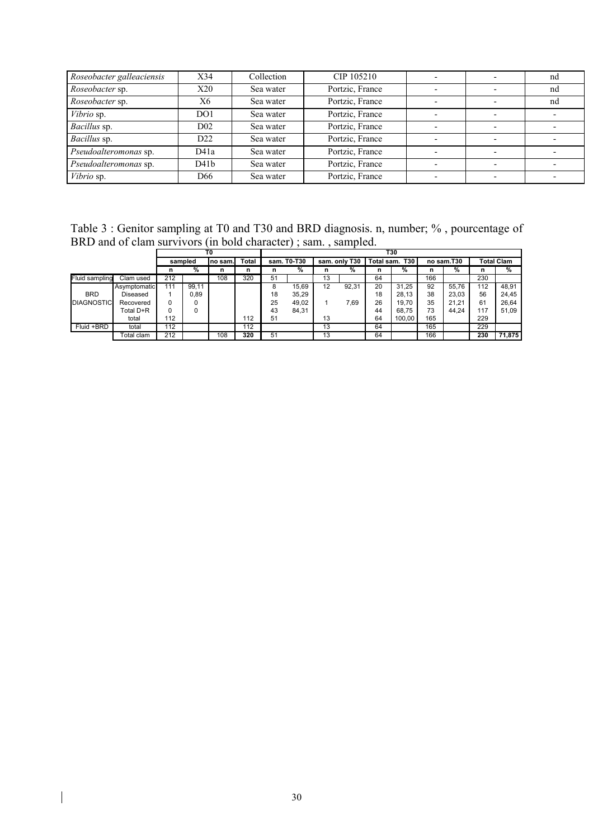| Roseobacter galleaciensis | X34              | Collection | CIP 105210      |  | nd |
|---------------------------|------------------|------------|-----------------|--|----|
| Roseobacter sp.           | X20              | Sea water  | Portzic, France |  | nd |
| Roseobacter sp.           | Х6               | Sea water  | Portzic, France |  | nd |
| Vibrio sp.                | DO1              | Sea water  | Portzic, France |  |    |
| Bacillus sp.              | D <sub>02</sub>  | Sea water  | Portzic, France |  |    |
| Bacillus sp.              | D22              | Sea water  | Portzic, France |  |    |
| Pseudoalteromonas sp.     | D41a             | Sea water  | Portzic, France |  |    |
| Pseudoalteromonas sp.     | D41 <sub>b</sub> | Sea water  | Portzic, France |  |    |
| Vibrio sp.                | D66              | Sea water  | Portzic, France |  |    |

Table 3 : Genitor sampling at T0 and T30 and BRD diagnosis. n, number; % , pourcentage of BRD and of clam survivors (in bold character) ; sam. , sampled. **T0 T30**

|                       |              | T0      |       |          |       | T30         |       |               |       |                          |        |            |       |                   |        |
|-----------------------|--------------|---------|-------|----------|-------|-------------|-------|---------------|-------|--------------------------|--------|------------|-------|-------------------|--------|
|                       |              | sampled |       | Ino sam. | Total | sam. T0-T30 |       | sam. only T30 |       | Total sam.<br><b>T30</b> |        | no sam.T30 |       | <b>Total Clam</b> |        |
|                       |              | n       | %     | n        | n     | n           | %     | n             | %     | n                        | %      | n          | ℅     | n                 | %      |
| <b>Fluid sampling</b> | Clam used    | 212     |       | 108      | 320   | 51          |       | 13            |       | 64                       |        | 166        |       | 230               |        |
|                       | Asymptomatic | 111     | 99.11 |          |       | 8           | 15,69 | 12            | 92.31 | 20                       | 31.25  | 92         | 55.76 | 112               | 48.91  |
| <b>BRD</b>            | Diseased     |         | 0.89  |          |       | 18          | 35,29 |               |       | 18                       | 28.13  | 38         | 23.03 | 56                | 24.45  |
| <b>DIAGNOSTIC</b>     | Recovered    | 0       |       |          |       | 25          | 49,02 |               | 7.69  | 26                       | 19.70  | 35         | 21,21 | 61                | 26.64  |
|                       | Total D+R    | 0       |       |          |       | 43          | 84,31 |               |       | 44                       | 68.75  | 73         | 44.24 | 117               | 51.09  |
|                       | total        | 112     |       |          | 112   | 51          |       | 13            |       | 64                       | 100.00 | 165        |       | 229               |        |
| Fluid +BRD            | total        | 112     |       |          | 112   |             |       | 13            |       | 64                       |        | 165        |       | 229               |        |
|                       | Гotal clam   | 212     |       | 108      | 320   | 51          |       | 13            |       | 64                       |        | 166        |       | 230               | 71.875 |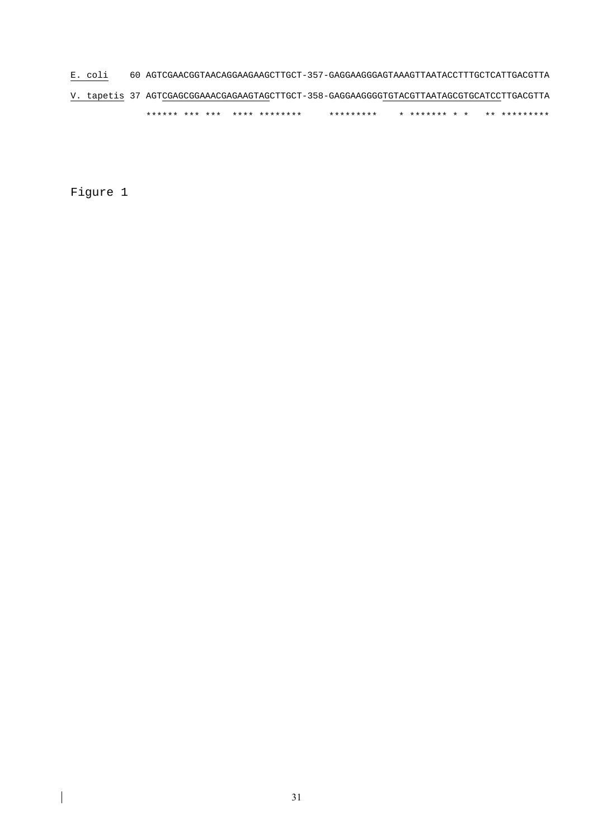E. coli 60 AGTCGAACGGTAACAGGAAGAAGCTTGCT-357-GAGGAAGGGAGTAAAGTTAATACCTTTGCTCATTGACGTTA V. tapetis 37 AGTCGAGCGGAAACGAGAAGTAGCTTGCT-358-GAGGAAGGGGTGTACGTTAATAGCGTGCATCCTTGACGTTA \*\*\*\*\*\* \*\*\* \*\*\* \*\*\*\* \*\*\*\*\*\*\*\* \*\*\*\*\*\*\*\*\* \* \*\*\*\*\*\*\* \* \* \*\* \*\*\*\*\*\*\*\*\*

Figure 1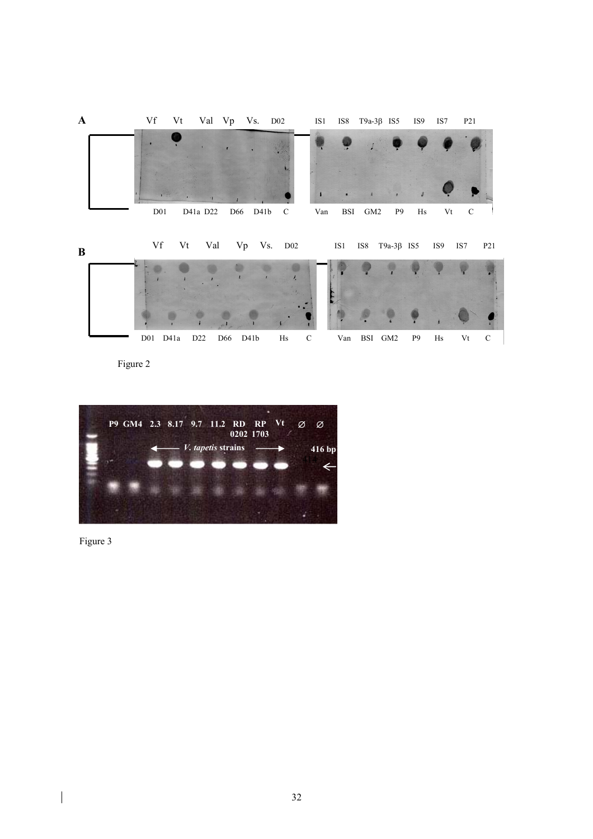

Figure 2



Figure 3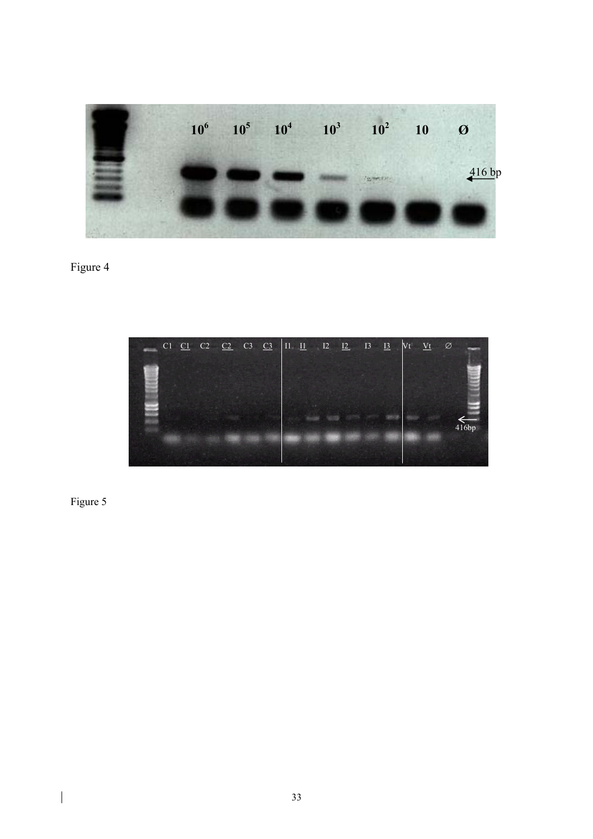

Figure 4



Figure 5